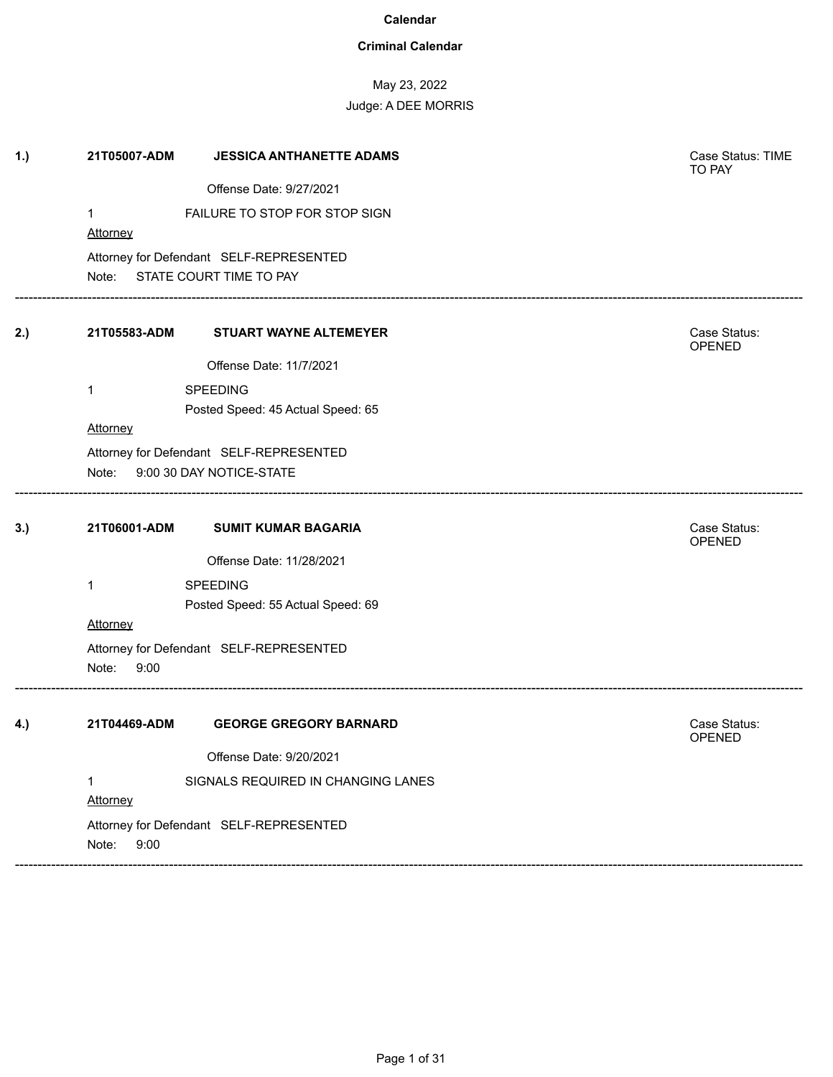### **Criminal Calendar**

May 23, 2022

| 1.) | 21T05007-ADM                   | <b>JESSICA ANTHANETTE ADAMS</b>         | Case Status: TIME<br>TO PAY   |
|-----|--------------------------------|-----------------------------------------|-------------------------------|
|     |                                | Offense Date: 9/27/2021                 |                               |
|     | 1                              | FAILURE TO STOP FOR STOP SIGN           |                               |
|     | Attorney                       |                                         |                               |
|     |                                | Attorney for Defendant SELF-REPRESENTED |                               |
|     |                                | Note: STATE COURT TIME TO PAY           |                               |
| 2.) | 21T05583-ADM                   | <b>STUART WAYNE ALTEMEYER</b>           | Case Status:<br>OPENED        |
|     |                                | Offense Date: 11/7/2021                 |                               |
|     | 1                              | <b>SPEEDING</b>                         |                               |
|     |                                | Posted Speed: 45 Actual Speed: 65       |                               |
|     | Attorney                       |                                         |                               |
|     |                                | Attorney for Defendant SELF-REPRESENTED |                               |
|     | Note: 9:00 30 DAY NOTICE-STATE |                                         |                               |
| 3.) | 21T06001-ADM                   | <b>SUMIT KUMAR BAGARIA</b>              | Case Status:<br><b>OPENED</b> |
|     |                                | Offense Date: 11/28/2021                |                               |
|     | 1                              | <b>SPEEDING</b>                         |                               |
|     |                                | Posted Speed: 55 Actual Speed: 69       |                               |
|     | Attorney                       |                                         |                               |
|     |                                | Attorney for Defendant SELF-REPRESENTED |                               |
|     | Note:<br>9:00                  |                                         |                               |
| 4.) | 21T04469-ADM                   | <b>GEORGE GREGORY BARNARD</b>           | Case Status:<br><b>OPENED</b> |
|     |                                | Offense Date: 9/20/2021                 |                               |
|     | 1                              | SIGNALS REQUIRED IN CHANGING LANES      |                               |
|     | Attorney                       |                                         |                               |
|     |                                | Attorney for Defendant SELF-REPRESENTED |                               |
|     | Note:<br>9:00                  |                                         |                               |
|     |                                |                                         |                               |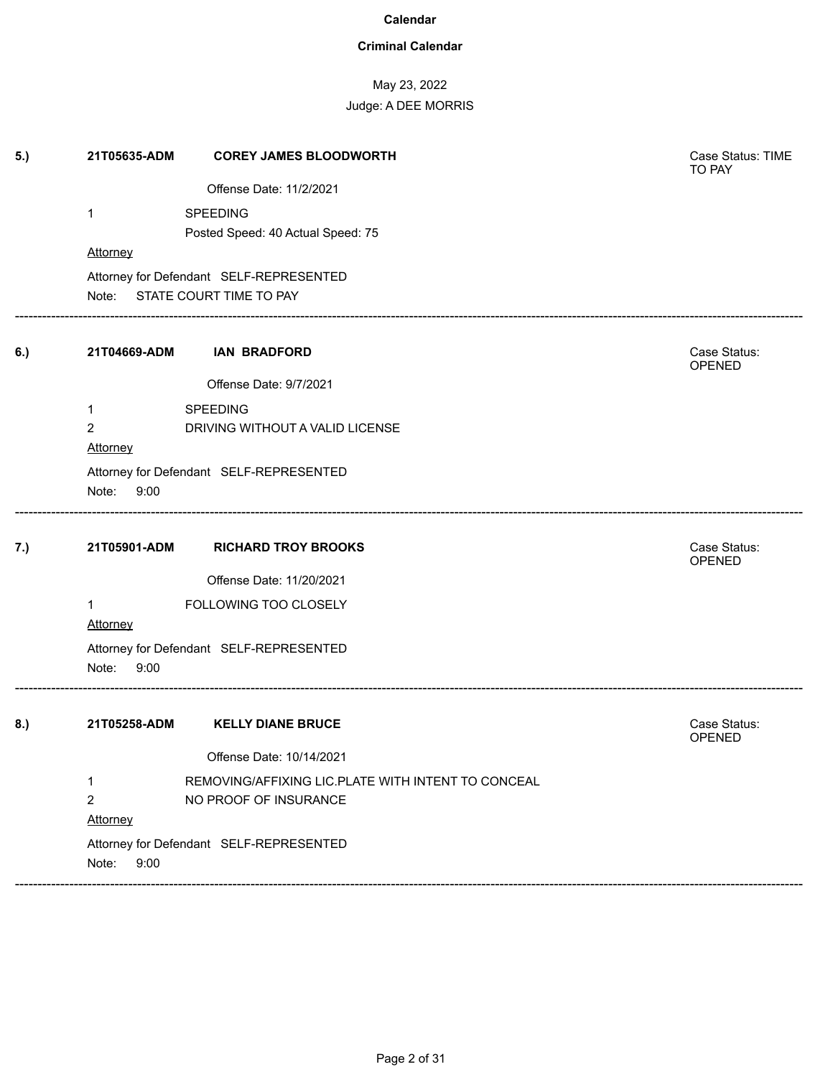### **Criminal Calendar**

# May 23, 2022

| 5.) | 21T05635-ADM                  | <b>COREY JAMES BLOODWORTH</b>                      | Case Status: TIME<br>TO PAY   |
|-----|-------------------------------|----------------------------------------------------|-------------------------------|
|     |                               | Offense Date: 11/2/2021                            |                               |
|     | 1                             | SPEEDING                                           |                               |
|     |                               | Posted Speed: 40 Actual Speed: 75                  |                               |
|     | Attorney                      |                                                    |                               |
|     |                               | Attorney for Defendant SELF-REPRESENTED            |                               |
|     | Note: STATE COURT TIME TO PAY |                                                    |                               |
| 6.) | 21T04669-ADM                  | <b>IAN BRADFORD</b>                                | Case Status:<br><b>OPENED</b> |
|     |                               | Offense Date: 9/7/2021                             |                               |
|     | 1                             | <b>SPEEDING</b>                                    |                               |
|     | $\overline{2}$                | DRIVING WITHOUT A VALID LICENSE                    |                               |
|     | Attorney                      |                                                    |                               |
|     |                               | Attorney for Defendant SELF-REPRESENTED            |                               |
|     | Note: 9:00                    |                                                    |                               |
|     |                               |                                                    |                               |
| 7.) | 21T05901-ADM                  | <b>RICHARD TROY BROOKS</b>                         | Case Status:<br>OPENED        |
|     |                               | Offense Date: 11/20/2021                           |                               |
|     | $\mathbf{1}$                  | FOLLOWING TOO CLOSELY                              |                               |
|     | Attorney                      |                                                    |                               |
|     |                               | Attorney for Defendant SELF-REPRESENTED            |                               |
|     | Note:<br>9:00                 |                                                    |                               |
| 8.) | 21T05258-ADM                  | <b>KELLY DIANE BRUCE</b>                           | Case Status:                  |
|     |                               |                                                    | <b>OPENED</b>                 |
|     |                               | Offense Date: 10/14/2021                           |                               |
|     | 1                             | REMOVING/AFFIXING LIC.PLATE WITH INTENT TO CONCEAL |                               |
|     | $\overline{c}$                | NO PROOF OF INSURANCE                              |                               |
|     | Attorney                      |                                                    |                               |
|     |                               | Attorney for Defendant SELF-REPRESENTED            |                               |
|     | Note:<br>9:00                 |                                                    |                               |
|     |                               |                                                    |                               |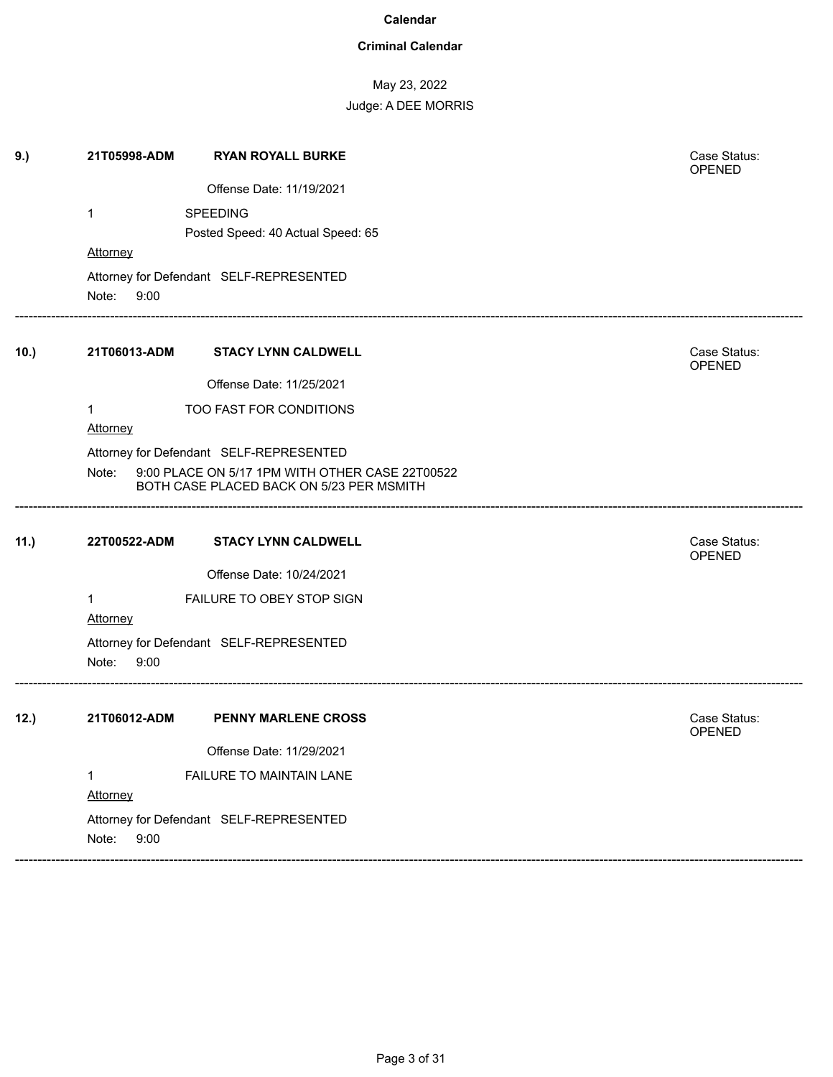### **Criminal Calendar**

| 9.)  | 21T05998-ADM    | <b>RYAN ROYALL BURKE</b>                                                                    | Case Status:<br>OPENED        |
|------|-----------------|---------------------------------------------------------------------------------------------|-------------------------------|
|      |                 | Offense Date: 11/19/2021                                                                    |                               |
|      | 1               | <b>SPEEDING</b>                                                                             |                               |
|      |                 | Posted Speed: 40 Actual Speed: 65                                                           |                               |
|      | <b>Attorney</b> |                                                                                             |                               |
|      | Note: 9:00      | Attorney for Defendant SELF-REPRESENTED                                                     |                               |
| 10.) | 21T06013-ADM    | <b>STACY LYNN CALDWELL</b>                                                                  | Case Status:<br>OPENED        |
|      |                 | Offense Date: 11/25/2021                                                                    |                               |
|      | 1               | TOO FAST FOR CONDITIONS                                                                     |                               |
|      | Attorney        |                                                                                             |                               |
|      |                 | Attorney for Defendant SELF-REPRESENTED                                                     |                               |
|      | Note:           | 9:00 PLACE ON 5/17 1PM WITH OTHER CASE 22T00522<br>BOTH CASE PLACED BACK ON 5/23 PER MSMITH |                               |
| 11.) | 22T00522-ADM    | <b>STACY LYNN CALDWELL</b>                                                                  | Case Status:<br>OPENED        |
|      |                 | Offense Date: 10/24/2021                                                                    |                               |
|      | 1               | FAILURE TO OBEY STOP SIGN                                                                   |                               |
|      | Attorney        |                                                                                             |                               |
|      | Note:<br>9:00   | Attorney for Defendant SELF-REPRESENTED                                                     |                               |
| 12.) | 21T06012-ADM    | <b>PENNY MARLENE CROSS</b>                                                                  | Case Status:<br><b>OPENED</b> |
|      |                 | Offense Date: 11/29/2021                                                                    |                               |
|      | 1<br>Attorney   | FAILURE TO MAINTAIN LANE                                                                    |                               |
|      | Note:<br>9:00   | Attorney for Defendant SELF-REPRESENTED                                                     |                               |
|      |                 |                                                                                             |                               |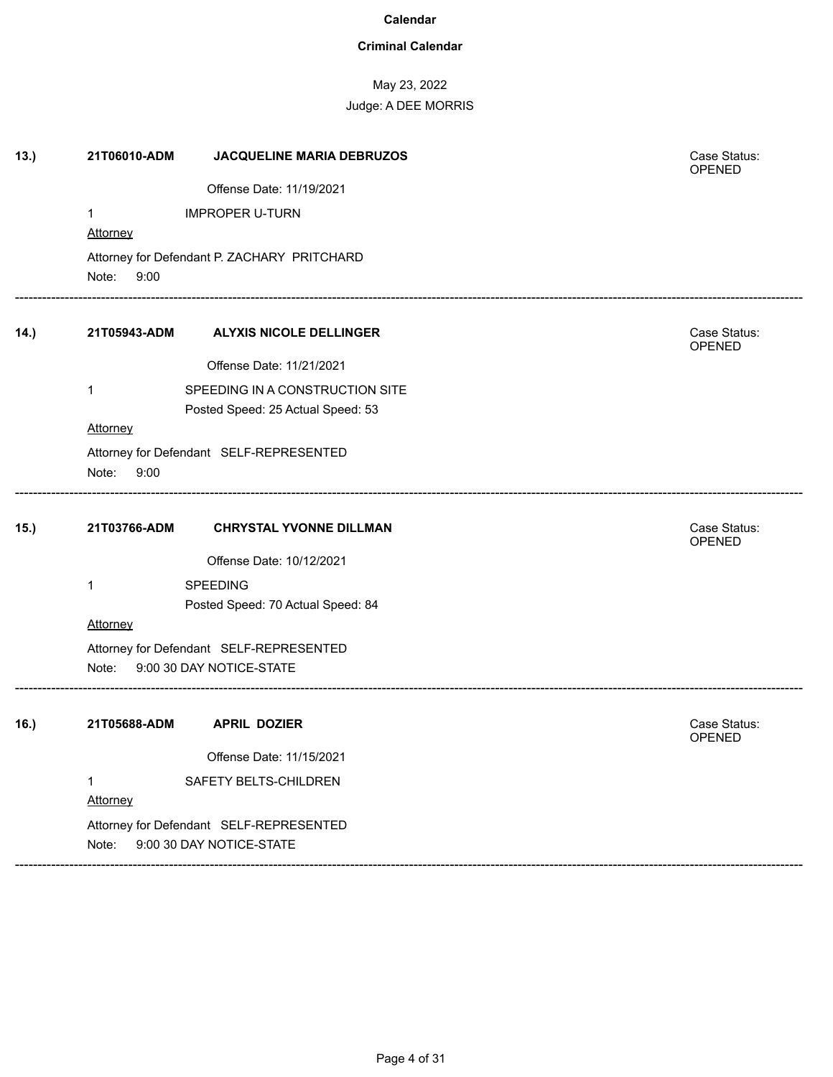### **Criminal Calendar**

### May 23, 2022

| 13.) | 21T06010-ADM    | <b>JACQUELINE MARIA DEBRUZOS</b>            | Case Status:<br>OPENED |
|------|-----------------|---------------------------------------------|------------------------|
|      |                 | Offense Date: 11/19/2021                    |                        |
|      | $\mathbf{1}$    | <b>IMPROPER U-TURN</b>                      |                        |
|      | <b>Attorney</b> |                                             |                        |
|      |                 | Attorney for Defendant P. ZACHARY PRITCHARD |                        |
|      | Note:<br>9:00   |                                             |                        |
| 14.) | 21T05943-ADM    | <b>ALYXIS NICOLE DELLINGER</b>              | Case Status:<br>OPENED |
|      |                 | Offense Date: 11/21/2021                    |                        |
|      | 1               | SPEEDING IN A CONSTRUCTION SITE             |                        |
|      |                 | Posted Speed: 25 Actual Speed: 53           |                        |
|      | Attorney        |                                             |                        |
|      | Note:<br>9:00   | Attorney for Defendant SELF-REPRESENTED     |                        |
|      |                 |                                             |                        |
| 15.  | 21T03766-ADM    | <b>CHRYSTAL YVONNE DILLMAN</b>              | Case Status:<br>OPENED |
|      |                 | Offense Date: 10/12/2021                    |                        |
|      | 1               | <b>SPEEDING</b>                             |                        |
|      |                 | Posted Speed: 70 Actual Speed: 84           |                        |
|      | <b>Attorney</b> |                                             |                        |
|      |                 | Attorney for Defendant SELF-REPRESENTED     |                        |
|      | Note:           | 9:00 30 DAY NOTICE-STATE                    |                        |
| 16.  | 21T05688-ADM    | <b>APRIL DOZIER</b>                         | Case Status:<br>OPENED |
|      |                 | Offense Date: 11/15/2021                    |                        |
|      | $\mathbf{1}$    | SAFETY BELTS-CHILDREN                       |                        |
|      | Attorney        |                                             |                        |
|      |                 | Attorney for Defendant SELF-REPRESENTED     |                        |
|      | Note:           | 9:00 30 DAY NOTICE-STATE                    |                        |
|      |                 |                                             |                        |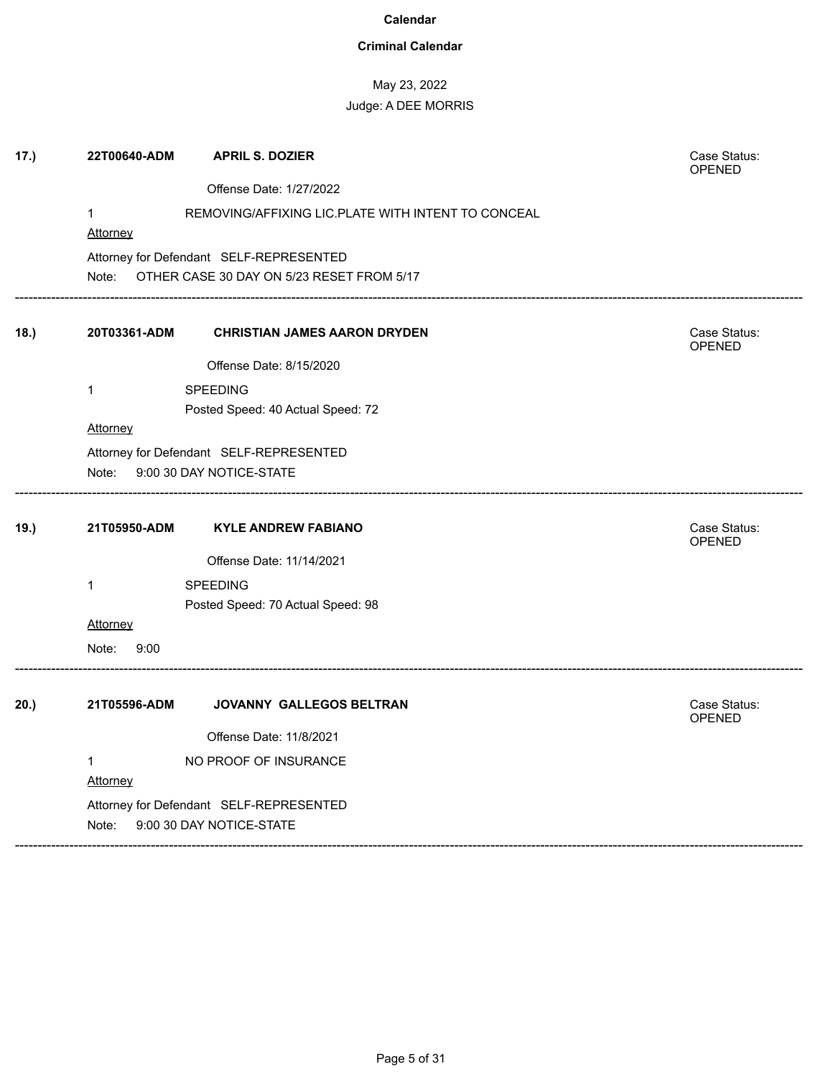### **Criminal Calendar**

# May 23, 2022

| 17.) | 22T00640-ADM                      | <b>APRIL S. DOZIER</b>                             | Case Status:<br>OPENED |
|------|-----------------------------------|----------------------------------------------------|------------------------|
|      |                                   | Offense Date: 1/27/2022                            |                        |
|      | $\mathbf{1}$                      | REMOVING/AFFIXING LIC.PLATE WITH INTENT TO CONCEAL |                        |
|      | Attorney                          |                                                    |                        |
|      |                                   | Attorney for Defendant SELF-REPRESENTED            |                        |
|      |                                   | Note: OTHER CASE 30 DAY ON 5/23 RESET FROM 5/17    |                        |
| 18.) | 20T03361-ADM                      | <b>CHRISTIAN JAMES AARON DRYDEN</b>                | Case Status:<br>OPENED |
|      |                                   | Offense Date: 8/15/2020                            |                        |
|      | $\mathbf{1}$                      | SPEEDING                                           |                        |
|      |                                   | Posted Speed: 40 Actual Speed: 72                  |                        |
|      | Attorney                          |                                                    |                        |
|      |                                   | Attorney for Defendant SELF-REPRESENTED            |                        |
|      | Note:                             | 9:00 30 DAY NOTICE-STATE                           |                        |
| 19.) | 21T05950-ADM                      | <b>KYLE ANDREW FABIANO</b>                         | Case Status:<br>OPENED |
|      |                                   | Offense Date: 11/14/2021                           |                        |
|      | $\mathbf{1}$                      | <b>SPEEDING</b>                                    |                        |
|      |                                   | Posted Speed: 70 Actual Speed: 98                  |                        |
|      | Attorney                          |                                                    |                        |
|      | 9:00<br>Note:                     |                                                    |                        |
| 20.) | 21T05596-ADM                      | JOVANNY GALLEGOS BELTRAN                           | Case Status:<br>OPENED |
|      |                                   | Offense Date: 11/8/2021                            |                        |
|      | $\mathbf 1$                       | NO PROOF OF INSURANCE                              |                        |
|      | Attorney                          |                                                    |                        |
|      |                                   | Attorney for Defendant SELF-REPRESENTED            |                        |
|      | 9:00 30 DAY NOTICE-STATE<br>Note: |                                                    |                        |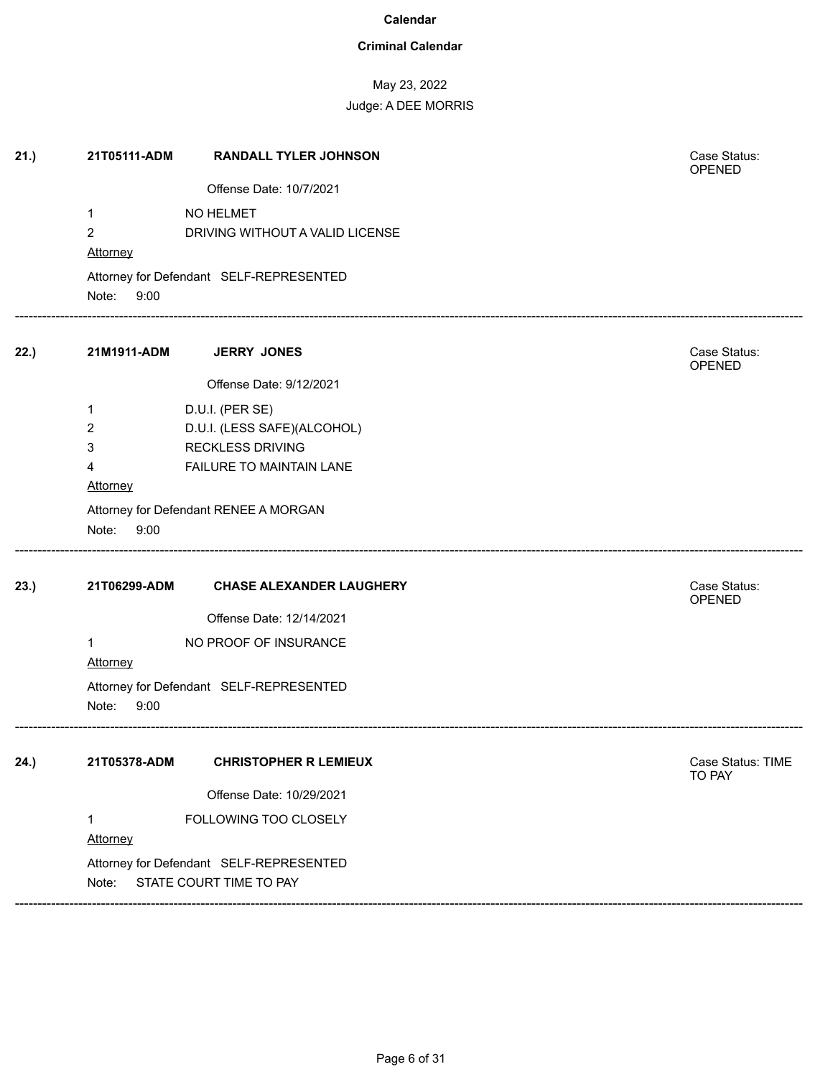### **Criminal Calendar**

# May 23, 2022

Judge: A DEE MORRIS

| Offense Date: 10/7/2021<br>NO HELMET<br>1<br>$\overline{2}$<br>DRIVING WITHOUT A VALID LICENSE<br>Attorney<br>Attorney for Defendant SELF-REPRESENTED<br>Note:<br>9:00<br>22.)<br>21M1911-ADM<br><b>JERRY JONES</b><br>Case Status:<br>OPENED<br>Offense Date: 9/12/2021<br>D.U.I. (PER SE)<br>1<br>D.U.I. (LESS SAFE)(ALCOHOL)<br>2<br>3<br><b>RECKLESS DRIVING</b><br>FAILURE TO MAINTAIN LANE<br>4<br>Attorney<br>Attorney for Defendant RENEE A MORGAN<br>Note:<br>9:00<br>23.)<br>21T06299-ADM<br>Case Status:<br><b>CHASE ALEXANDER LAUGHERY</b><br>OPENED<br>Offense Date: 12/14/2021<br>NO PROOF OF INSURANCE<br>$\mathbf{1}$<br>Attorney<br>Attorney for Defendant SELF-REPRESENTED<br>Note:<br>9:00<br>24.)<br>21T05378-ADM<br><b>CHRISTOPHER R LEMIEUX</b><br>Case Status: TIME<br>TO PAY<br>Offense Date: 10/29/2021<br>FOLLOWING TOO CLOSELY<br>1<br>Attorney<br>Attorney for Defendant SELF-REPRESENTED<br>STATE COURT TIME TO PAY<br>Note: | 21.) | 21T05111-ADM | <b>RANDALL TYLER JOHNSON</b> | Case Status:<br>OPENED |
|-----------------------------------------------------------------------------------------------------------------------------------------------------------------------------------------------------------------------------------------------------------------------------------------------------------------------------------------------------------------------------------------------------------------------------------------------------------------------------------------------------------------------------------------------------------------------------------------------------------------------------------------------------------------------------------------------------------------------------------------------------------------------------------------------------------------------------------------------------------------------------------------------------------------------------------------------------------|------|--------------|------------------------------|------------------------|
|                                                                                                                                                                                                                                                                                                                                                                                                                                                                                                                                                                                                                                                                                                                                                                                                                                                                                                                                                           |      |              |                              |                        |
|                                                                                                                                                                                                                                                                                                                                                                                                                                                                                                                                                                                                                                                                                                                                                                                                                                                                                                                                                           |      |              |                              |                        |
|                                                                                                                                                                                                                                                                                                                                                                                                                                                                                                                                                                                                                                                                                                                                                                                                                                                                                                                                                           |      |              |                              |                        |
|                                                                                                                                                                                                                                                                                                                                                                                                                                                                                                                                                                                                                                                                                                                                                                                                                                                                                                                                                           |      |              |                              |                        |
|                                                                                                                                                                                                                                                                                                                                                                                                                                                                                                                                                                                                                                                                                                                                                                                                                                                                                                                                                           |      |              |                              |                        |
|                                                                                                                                                                                                                                                                                                                                                                                                                                                                                                                                                                                                                                                                                                                                                                                                                                                                                                                                                           |      |              |                              |                        |
|                                                                                                                                                                                                                                                                                                                                                                                                                                                                                                                                                                                                                                                                                                                                                                                                                                                                                                                                                           |      |              |                              |                        |
|                                                                                                                                                                                                                                                                                                                                                                                                                                                                                                                                                                                                                                                                                                                                                                                                                                                                                                                                                           |      |              |                              |                        |
|                                                                                                                                                                                                                                                                                                                                                                                                                                                                                                                                                                                                                                                                                                                                                                                                                                                                                                                                                           |      |              |                              |                        |
|                                                                                                                                                                                                                                                                                                                                                                                                                                                                                                                                                                                                                                                                                                                                                                                                                                                                                                                                                           |      |              |                              |                        |
|                                                                                                                                                                                                                                                                                                                                                                                                                                                                                                                                                                                                                                                                                                                                                                                                                                                                                                                                                           |      |              |                              |                        |
|                                                                                                                                                                                                                                                                                                                                                                                                                                                                                                                                                                                                                                                                                                                                                                                                                                                                                                                                                           |      |              |                              |                        |
|                                                                                                                                                                                                                                                                                                                                                                                                                                                                                                                                                                                                                                                                                                                                                                                                                                                                                                                                                           |      |              |                              |                        |
|                                                                                                                                                                                                                                                                                                                                                                                                                                                                                                                                                                                                                                                                                                                                                                                                                                                                                                                                                           |      |              |                              |                        |
|                                                                                                                                                                                                                                                                                                                                                                                                                                                                                                                                                                                                                                                                                                                                                                                                                                                                                                                                                           |      |              |                              |                        |
|                                                                                                                                                                                                                                                                                                                                                                                                                                                                                                                                                                                                                                                                                                                                                                                                                                                                                                                                                           |      |              |                              |                        |
|                                                                                                                                                                                                                                                                                                                                                                                                                                                                                                                                                                                                                                                                                                                                                                                                                                                                                                                                                           |      |              |                              |                        |
|                                                                                                                                                                                                                                                                                                                                                                                                                                                                                                                                                                                                                                                                                                                                                                                                                                                                                                                                                           |      |              |                              |                        |
|                                                                                                                                                                                                                                                                                                                                                                                                                                                                                                                                                                                                                                                                                                                                                                                                                                                                                                                                                           |      |              |                              |                        |
|                                                                                                                                                                                                                                                                                                                                                                                                                                                                                                                                                                                                                                                                                                                                                                                                                                                                                                                                                           |      |              |                              |                        |
|                                                                                                                                                                                                                                                                                                                                                                                                                                                                                                                                                                                                                                                                                                                                                                                                                                                                                                                                                           |      |              |                              |                        |
|                                                                                                                                                                                                                                                                                                                                                                                                                                                                                                                                                                                                                                                                                                                                                                                                                                                                                                                                                           |      |              |                              |                        |
|                                                                                                                                                                                                                                                                                                                                                                                                                                                                                                                                                                                                                                                                                                                                                                                                                                                                                                                                                           |      |              |                              |                        |
|                                                                                                                                                                                                                                                                                                                                                                                                                                                                                                                                                                                                                                                                                                                                                                                                                                                                                                                                                           |      |              |                              |                        |
|                                                                                                                                                                                                                                                                                                                                                                                                                                                                                                                                                                                                                                                                                                                                                                                                                                                                                                                                                           |      |              |                              |                        |
|                                                                                                                                                                                                                                                                                                                                                                                                                                                                                                                                                                                                                                                                                                                                                                                                                                                                                                                                                           |      |              |                              |                        |
|                                                                                                                                                                                                                                                                                                                                                                                                                                                                                                                                                                                                                                                                                                                                                                                                                                                                                                                                                           |      |              |                              |                        |
|                                                                                                                                                                                                                                                                                                                                                                                                                                                                                                                                                                                                                                                                                                                                                                                                                                                                                                                                                           |      |              |                              |                        |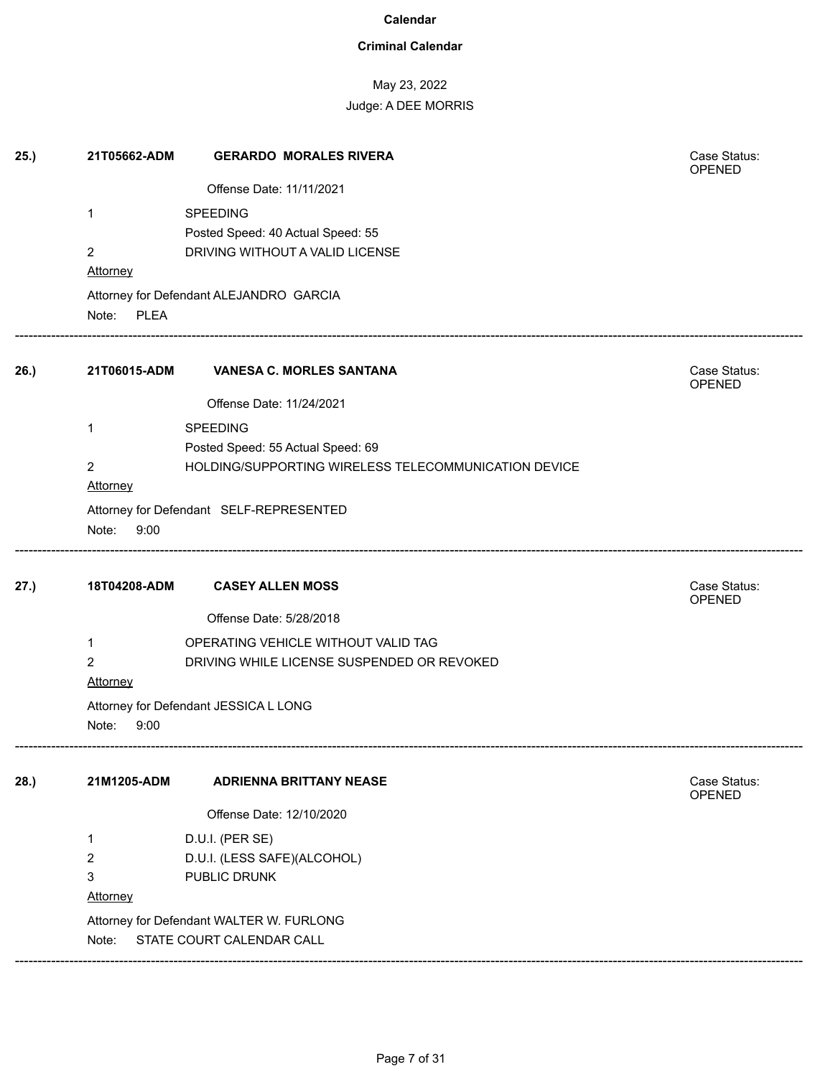### **Criminal Calendar**

# May 23, 2022

| 25.) | 21T05662-ADM         | <b>GERARDO MORALES RIVERA</b>                        | Case Status:<br><b>OPENED</b> |
|------|----------------------|------------------------------------------------------|-------------------------------|
|      |                      | Offense Date: 11/11/2021                             |                               |
|      | $\mathbf 1$          | SPEEDING                                             |                               |
|      |                      | Posted Speed: 40 Actual Speed: 55                    |                               |
|      | $\overline{2}$       | DRIVING WITHOUT A VALID LICENSE                      |                               |
|      | Attorney             |                                                      |                               |
|      | <b>PLEA</b><br>Note: | Attorney for Defendant ALEJANDRO GARCIA              |                               |
| 26.) | 21T06015-ADM         | <b>VANESA C. MORLES SANTANA</b>                      | Case Status:<br>OPENED        |
|      |                      | Offense Date: 11/24/2021                             |                               |
|      | 1                    | <b>SPEEDING</b>                                      |                               |
|      |                      | Posted Speed: 55 Actual Speed: 69                    |                               |
|      | $\overline{2}$       | HOLDING/SUPPORTING WIRELESS TELECOMMUNICATION DEVICE |                               |
|      | Attorney             |                                                      |                               |
|      |                      | Attorney for Defendant SELF-REPRESENTED              |                               |
|      | Note:<br>9:00        |                                                      |                               |
| 27.) | 18T04208-ADM         | <b>CASEY ALLEN MOSS</b>                              | Case Status:<br>OPENED        |
|      |                      | Offense Date: 5/28/2018                              |                               |
|      | 1                    | OPERATING VEHICLE WITHOUT VALID TAG                  |                               |
|      | $\overline{2}$       | DRIVING WHILE LICENSE SUSPENDED OR REVOKED           |                               |
|      | Attorney             |                                                      |                               |
|      | Note:<br>9:00        | Attorney for Defendant JESSICA L LONG                |                               |
| 28.) | 21M1205-ADM          | <b>ADRIENNA BRITTANY NEASE</b>                       | Case Status:<br><b>OPENED</b> |
|      |                      | Offense Date: 12/10/2020                             |                               |
|      | 1                    | D.U.I. (PER SE)                                      |                               |
|      | 2                    | D.U.I. (LESS SAFE)(ALCOHOL)                          |                               |
|      | 3                    | PUBLIC DRUNK                                         |                               |
|      | Attorney             |                                                      |                               |
|      |                      | Attorney for Defendant WALTER W. FURLONG             |                               |
|      | Note:                | STATE COURT CALENDAR CALL                            |                               |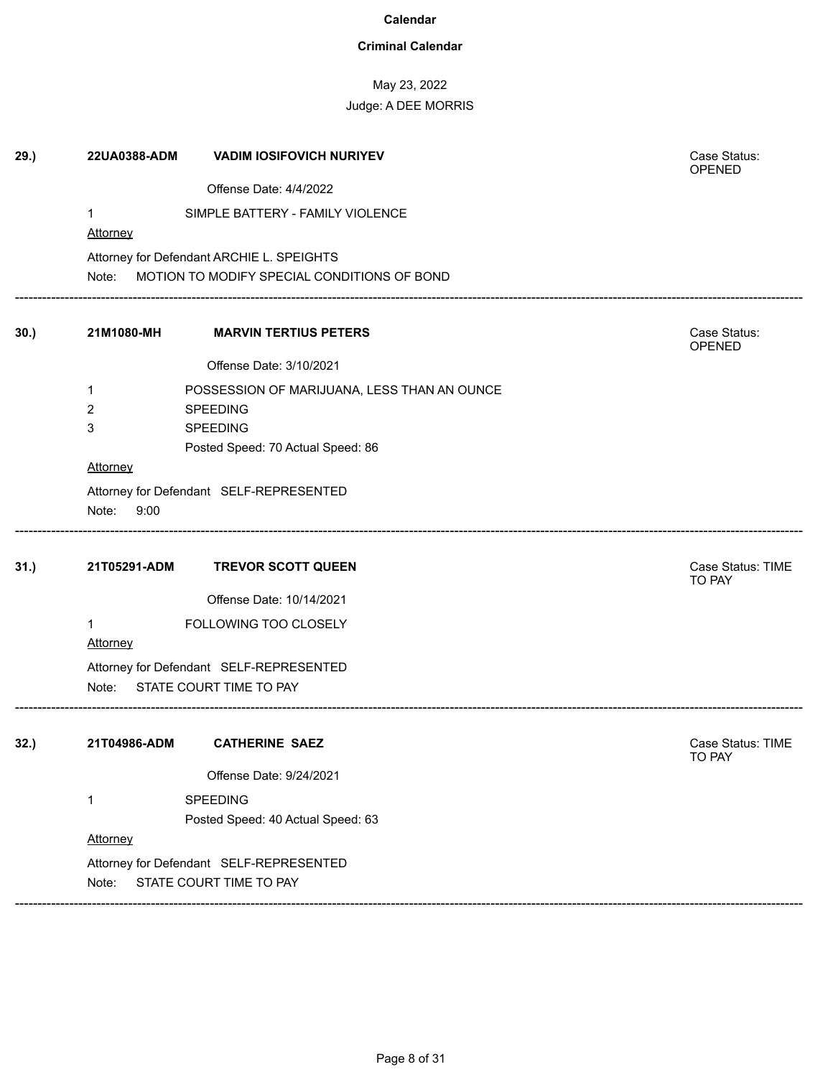### **Criminal Calendar**

May 23, 2022

# Judge: A DEE MORRIS

| 29.) | 22UA0388-ADM            | <b>VADIM IOSIFOVICH NURIYEV</b>             | Case Status:<br>OPENED      |
|------|-------------------------|---------------------------------------------|-----------------------------|
|      |                         | Offense Date: 4/4/2022                      |                             |
|      | $\mathbf 1$<br>Attorney | SIMPLE BATTERY - FAMILY VIOLENCE            |                             |
|      |                         | Attorney for Defendant ARCHIE L. SPEIGHTS   |                             |
|      | Note:                   | MOTION TO MODIFY SPECIAL CONDITIONS OF BOND |                             |
| 30.) | 21M1080-MH              | <b>MARVIN TERTIUS PETERS</b>                | Case Status:<br>OPENED      |
|      |                         | Offense Date: 3/10/2021                     |                             |
|      | 1                       | POSSESSION OF MARIJUANA, LESS THAN AN OUNCE |                             |
|      | 2                       | <b>SPEEDING</b>                             |                             |
|      | 3                       | <b>SPEEDING</b>                             |                             |
|      |                         | Posted Speed: 70 Actual Speed: 86           |                             |
|      | Attorney                |                                             |                             |
|      |                         | Attorney for Defendant SELF-REPRESENTED     |                             |
|      | Note:<br>9:00           |                                             |                             |
| 31.) | 21T05291-ADM            | <b>TREVOR SCOTT QUEEN</b>                   | Case Status: TIME<br>TO PAY |
|      |                         | Offense Date: 10/14/2021                    |                             |
|      | $\mathbf{1}$            | FOLLOWING TOO CLOSELY                       |                             |
|      | Attorney                |                                             |                             |
|      |                         | Attorney for Defendant SELF-REPRESENTED     |                             |
|      | Note:                   | STATE COURT TIME TO PAY                     |                             |
|      |                         |                                             |                             |
| 32.) | 21T04986-ADM            | <b>CATHERINE SAEZ</b>                       | Case Status: TIME<br>TO PAY |
|      |                         | Offense Date: 9/24/2021                     |                             |
|      | $\mathbf 1$             | SPEEDING                                    |                             |
|      |                         | Posted Speed: 40 Actual Speed: 63           |                             |
|      | Attorney                |                                             |                             |
|      |                         | Attorney for Defendant SELF-REPRESENTED     |                             |
|      | Note:                   | STATE COURT TIME TO PAY                     |                             |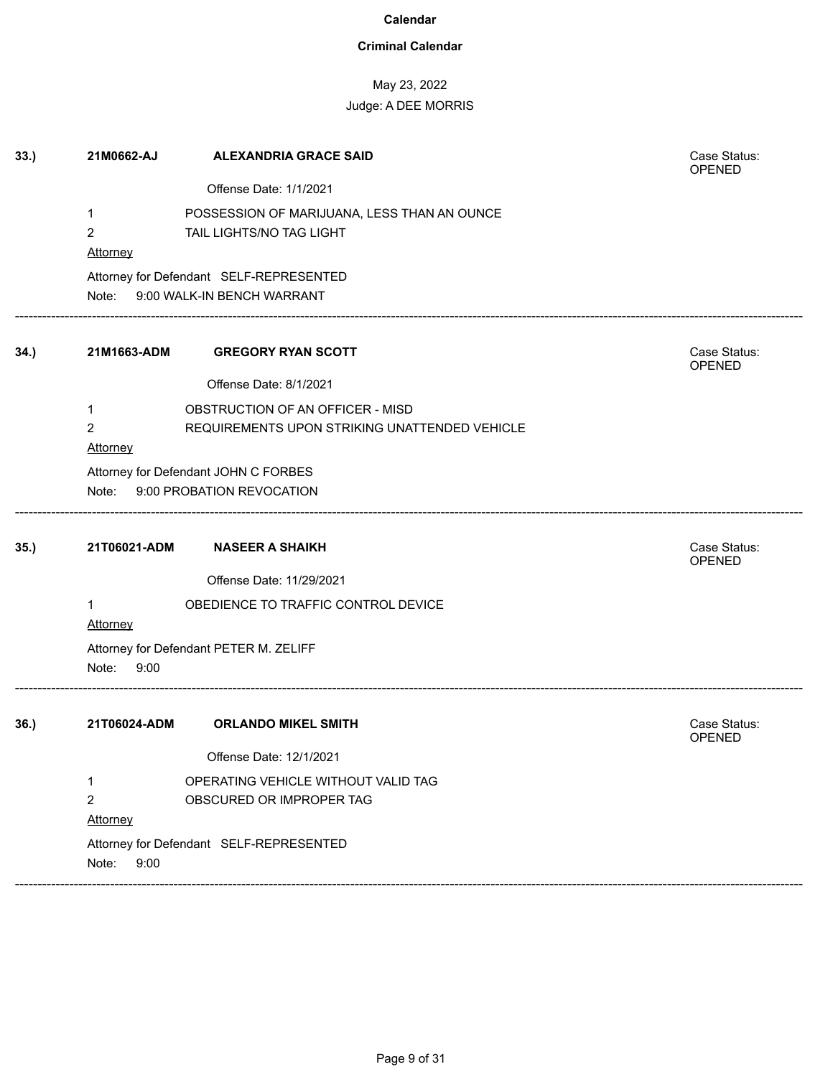### **Criminal Calendar**

# May 23, 2022

| 33.) | 21M0662-AJ     | <b>ALEXANDRIA GRACE SAID</b>                  | Case Status:<br><b>OPENED</b> |
|------|----------------|-----------------------------------------------|-------------------------------|
|      |                | Offense Date: 1/1/2021                        |                               |
|      | 1              | POSSESSION OF MARIJUANA, LESS THAN AN OUNCE   |                               |
|      | $\overline{2}$ | TAIL LIGHTS/NO TAG LIGHT                      |                               |
|      | Attorney       |                                               |                               |
|      |                | Attorney for Defendant SELF-REPRESENTED       |                               |
|      | Note:          | 9:00 WALK-IN BENCH WARRANT                    |                               |
| 34.) | 21M1663-ADM    | <b>GREGORY RYAN SCOTT</b>                     | Case Status:<br><b>OPENED</b> |
|      |                | Offense Date: 8/1/2021                        |                               |
|      | 1              | OBSTRUCTION OF AN OFFICER - MISD              |                               |
|      | 2              | REQUIREMENTS UPON STRIKING UNATTENDED VEHICLE |                               |
|      | Attorney       |                                               |                               |
|      |                | Attorney for Defendant JOHN C FORBES          |                               |
|      | Note:          | 9:00 PROBATION REVOCATION                     |                               |
| 35.) | 21T06021-ADM   | <b>NASEER A SHAIKH</b>                        | Case Status:<br>OPENED        |
|      |                | Offense Date: 11/29/2021                      |                               |
|      | 1<br>Attorney  | OBEDIENCE TO TRAFFIC CONTROL DEVICE           |                               |
|      |                | Attorney for Defendant PETER M. ZELIFF        |                               |
|      | Note:<br>9:00  |                                               |                               |
| 36.) | 21T06024-ADM   | <b>ORLANDO MIKEL SMITH</b>                    | Case Status:<br><b>OPENED</b> |
|      |                | Offense Date: 12/1/2021                       |                               |
|      | 1              | OPERATING VEHICLE WITHOUT VALID TAG           |                               |
|      | 2              | OBSCURED OR IMPROPER TAG                      |                               |
|      | Attorney       |                                               |                               |
|      | Note:<br>9:00  | Attorney for Defendant SELF-REPRESENTED       |                               |
|      |                |                                               |                               |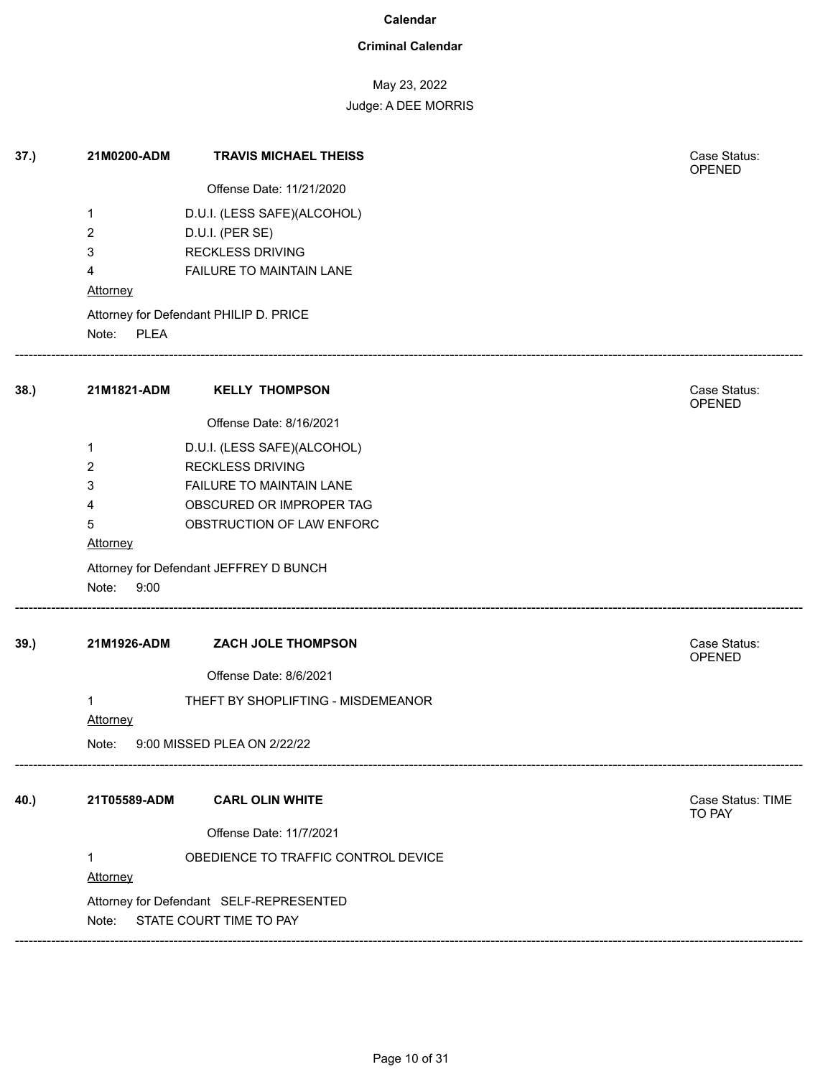### **Criminal Calendar**

# May 23, 2022

Judge: A DEE MORRIS

| 37.) | 21M0200-ADM              | <b>TRAVIS MICHAEL THEISS</b>            | Case Status:<br>OPENED        |
|------|--------------------------|-----------------------------------------|-------------------------------|
|      |                          | Offense Date: 11/21/2020                |                               |
|      | $\mathbf 1$              | D.U.I. (LESS SAFE)(ALCOHOL)             |                               |
|      | 2                        | D.U.I. (PER SE)                         |                               |
|      | 3                        | <b>RECKLESS DRIVING</b>                 |                               |
|      | 4                        | FAILURE TO MAINTAIN LANE                |                               |
|      | Attorney                 |                                         |                               |
|      |                          | Attorney for Defendant PHILIP D. PRICE  |                               |
|      | Note: PLEA               |                                         |                               |
| 38.) | 21M1821-ADM              | <b>KELLY THOMPSON</b>                   | Case Status:<br><b>OPENED</b> |
|      |                          | Offense Date: 8/16/2021                 |                               |
|      | 1                        | D.U.I. (LESS SAFE)(ALCOHOL)             |                               |
|      | 2                        | <b>RECKLESS DRIVING</b>                 |                               |
|      | 3                        | FAILURE TO MAINTAIN LANE                |                               |
|      | 4                        | OBSCURED OR IMPROPER TAG                |                               |
|      | 5                        | OBSTRUCTION OF LAW ENFORC               |                               |
|      | Attorney                 |                                         |                               |
|      |                          | Attorney for Defendant JEFFREY D BUNCH  |                               |
|      | Note:<br>9:00            |                                         |                               |
| 39.) | 21M1926-ADM              | ZACH JOLE THOMPSON                      | Case Status:<br>OPENED        |
|      |                          | Offense Date: 8/6/2021                  |                               |
|      | $\mathbf{1}$             | THEFT BY SHOPLIFTING - MISDEMEANOR      |                               |
|      | Attorney                 |                                         |                               |
|      | Note:                    | 9:00 MISSED PLEA ON 2/22/22             |                               |
| 40.) | 21T05589-ADM             | <b>CARL OLIN WHITE</b>                  | Case Status: TIME             |
|      |                          |                                         | <b>TO PAY</b>                 |
|      |                          | Offense Date: 11/7/2021                 |                               |
|      | $\mathbf{1}$<br>Attorney | OBEDIENCE TO TRAFFIC CONTROL DEVICE     |                               |
|      |                          | Attorney for Defendant SELF-REPRESENTED |                               |
|      | Note:                    | STATE COURT TIME TO PAY                 |                               |
|      |                          |                                         |                               |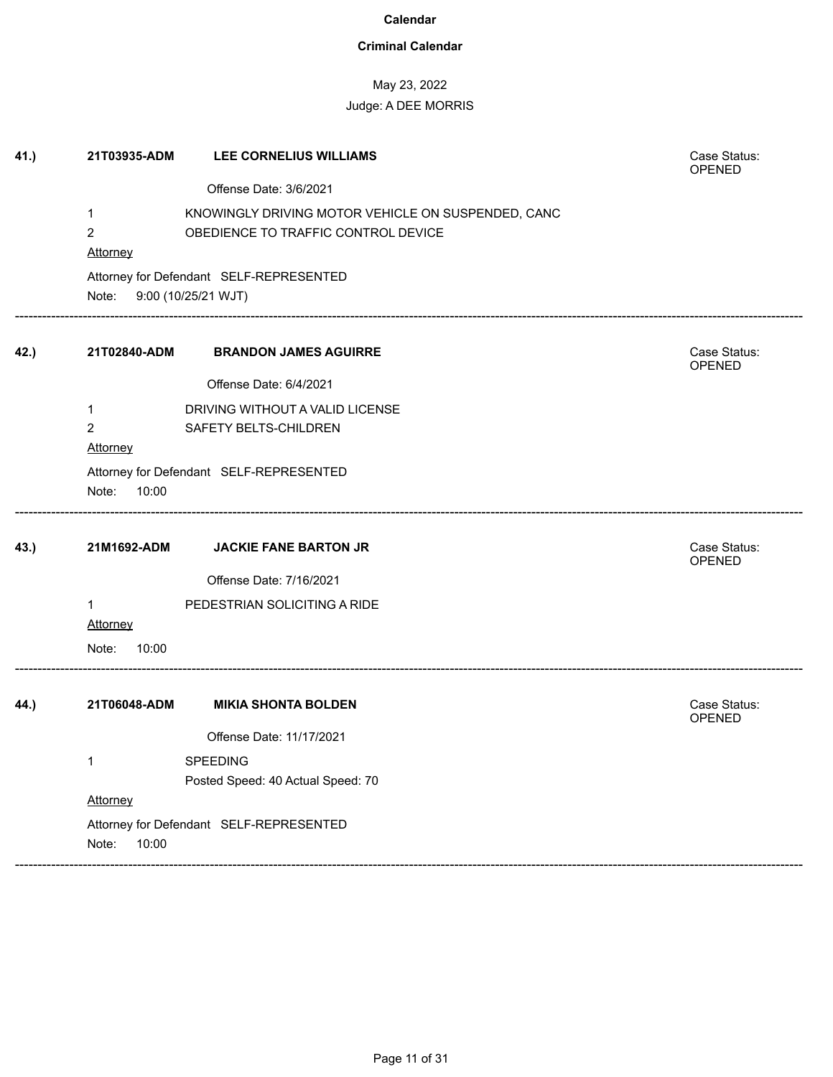### **Criminal Calendar**

# May 23, 2022

| 41.) | 21T03935-ADM   | LEE CORNELIUS WILLIAMS                             | Case Status:<br>OPENED |
|------|----------------|----------------------------------------------------|------------------------|
|      |                | Offense Date: 3/6/2021                             |                        |
|      | 1              | KNOWINGLY DRIVING MOTOR VEHICLE ON SUSPENDED, CANC |                        |
|      | $\overline{2}$ | OBEDIENCE TO TRAFFIC CONTROL DEVICE                |                        |
|      | Attorney       |                                                    |                        |
|      |                | Attorney for Defendant SELF-REPRESENTED            |                        |
|      | Note:          | 9:00 (10/25/21 WJT)                                |                        |
| 42.) | 21T02840-ADM   | <b>BRANDON JAMES AGUIRRE</b>                       | Case Status:<br>OPENED |
|      |                | Offense Date: 6/4/2021                             |                        |
|      | 1              | DRIVING WITHOUT A VALID LICENSE                    |                        |
|      | $\overline{2}$ | SAFETY BELTS-CHILDREN                              |                        |
|      | Attorney       |                                                    |                        |
|      |                | Attorney for Defendant SELF-REPRESENTED            |                        |
|      | Note:<br>10:00 |                                                    |                        |
| 43.) | 21M1692-ADM    | <b>JACKIE FANE BARTON JR</b>                       | Case Status:<br>OPENED |
|      |                | Offense Date: 7/16/2021                            |                        |
|      | 1              | PEDESTRIAN SOLICITING A RIDE                       |                        |
|      | Attorney       |                                                    |                        |
|      | Note:<br>10:00 |                                                    |                        |
| 44.) | 21T06048-ADM   | <b>MIKIA SHONTA BOLDEN</b>                         | Case Status:           |
|      |                |                                                    | OPENED                 |
|      |                | Offense Date: 11/17/2021                           |                        |
|      | 1              | SPEEDING                                           |                        |
|      |                | Posted Speed: 40 Actual Speed: 70                  |                        |
|      | Attorney       |                                                    |                        |
|      |                | Attorney for Defendant SELF-REPRESENTED            |                        |
|      | Note:<br>10:00 |                                                    |                        |
|      |                |                                                    |                        |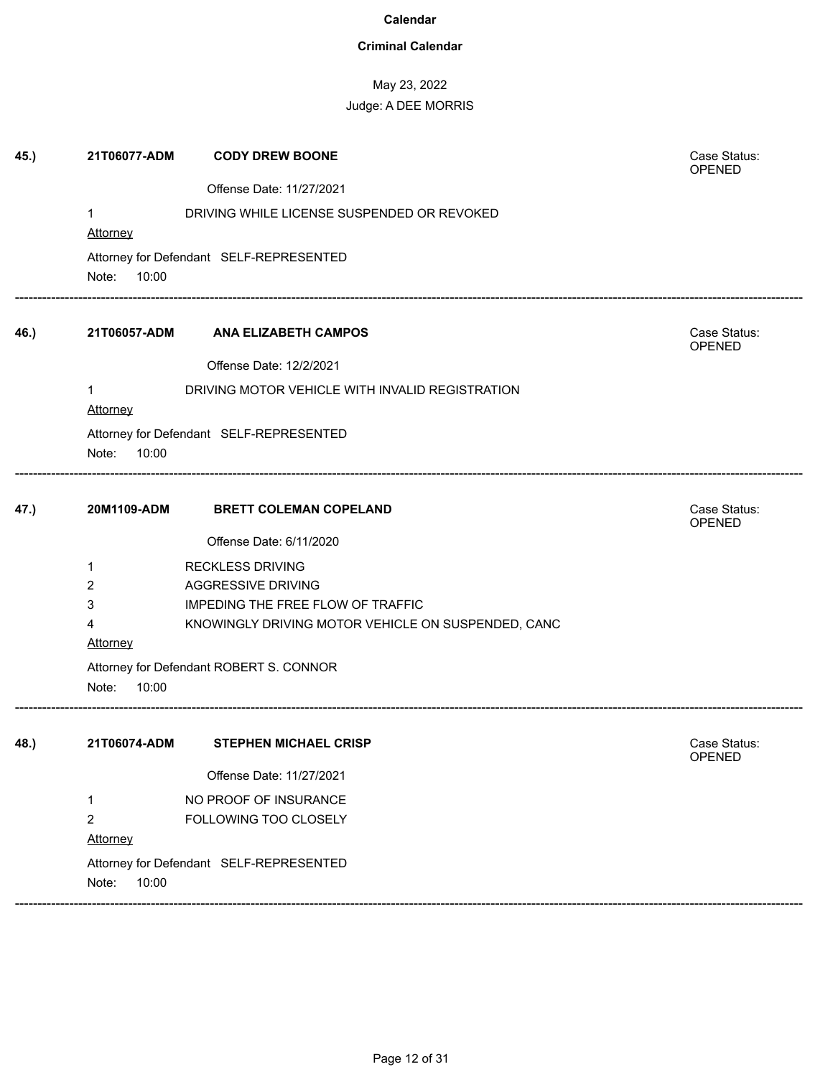### **Criminal Calendar**

# May 23, 2022 Judge: A DEE MORRIS

| 45.) | 21T06077-ADM   | <b>CODY DREW BOONE</b>                             | Case Status:           |
|------|----------------|----------------------------------------------------|------------------------|
|      |                | Offense Date: 11/27/2021                           | <b>OPENED</b>          |
|      | 1              | DRIVING WHILE LICENSE SUSPENDED OR REVOKED         |                        |
|      | Attorney       |                                                    |                        |
|      |                | Attorney for Defendant SELF-REPRESENTED            |                        |
|      | 10:00<br>Note: |                                                    |                        |
| 46.) | 21T06057-ADM   | <b>ANA ELIZABETH CAMPOS</b>                        | Case Status:<br>OPENED |
|      |                | Offense Date: 12/2/2021                            |                        |
|      | 1              | DRIVING MOTOR VEHICLE WITH INVALID REGISTRATION    |                        |
|      | Attorney       |                                                    |                        |
|      |                | Attorney for Defendant SELF-REPRESENTED            |                        |
|      | Note:<br>10:00 |                                                    |                        |
| 47.) | 20M1109-ADM    | <b>BRETT COLEMAN COPELAND</b>                      | Case Status:           |
|      |                |                                                    | OPENED                 |
|      |                | Offense Date: 6/11/2020                            |                        |
|      | 1              | <b>RECKLESS DRIVING</b>                            |                        |
|      | 2              | AGGRESSIVE DRIVING                                 |                        |
|      | 3<br>4         | IMPEDING THE FREE FLOW OF TRAFFIC                  |                        |
|      | Attorney       | KNOWINGLY DRIVING MOTOR VEHICLE ON SUSPENDED, CANC |                        |
|      |                | Attorney for Defendant ROBERT S. CONNOR            |                        |
|      | 10:00<br>Note: |                                                    |                        |
|      |                |                                                    |                        |
| 48.) | 21T06074-ADM   | <b>STEPHEN MICHAEL CRISP</b>                       | Case Status:<br>OPENED |
|      |                | Offense Date: 11/27/2021                           |                        |
|      | $\mathbf{1}$   | NO PROOF OF INSURANCE                              |                        |
|      | $\overline{2}$ | FOLLOWING TOO CLOSELY                              |                        |
|      | Attorney       |                                                    |                        |
|      |                | Attorney for Defendant SELF-REPRESENTED            |                        |
|      | 10:00<br>Note: |                                                    |                        |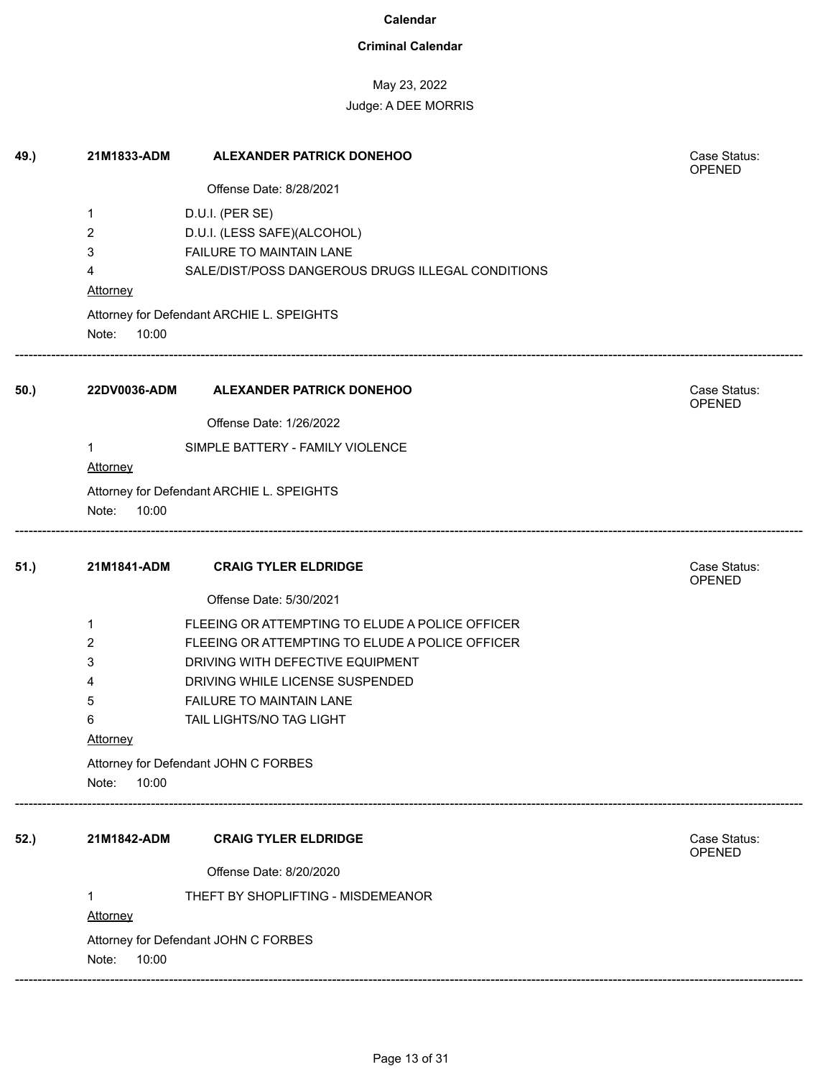### **Criminal Calendar**

# May 23, 2022

| 49.) | 21M1833-ADM     | <b>ALEXANDER PATRICK DONEHOO</b>                  | Case Status:<br><b>OPENED</b> |
|------|-----------------|---------------------------------------------------|-------------------------------|
|      |                 | Offense Date: 8/28/2021                           |                               |
|      | 1               | D.U.I. (PER SE)                                   |                               |
|      | 2               | D.U.I. (LESS SAFE)(ALCOHOL)                       |                               |
|      | 3               | FAILURE TO MAINTAIN LANE                          |                               |
|      | 4               | SALE/DIST/POSS DANGEROUS DRUGS ILLEGAL CONDITIONS |                               |
|      | <b>Attorney</b> |                                                   |                               |
|      | Note:<br>10:00  | Attorney for Defendant ARCHIE L. SPEIGHTS         |                               |
| 50.) | 22DV0036-ADM    | <b>ALEXANDER PATRICK DONEHOO</b>                  | Case Status:<br>OPENED        |
|      |                 | Offense Date: 1/26/2022                           |                               |
|      | 1               | SIMPLE BATTERY - FAMILY VIOLENCE                  |                               |
|      | <b>Attorney</b> |                                                   |                               |
|      |                 | Attorney for Defendant ARCHIE L. SPEIGHTS         |                               |
|      | Note:<br>10:00  |                                                   |                               |
| 51.) | 21M1841-ADM     | <b>CRAIG TYLER ELDRIDGE</b>                       | Case Status:<br><b>OPENED</b> |
|      |                 | Offense Date: 5/30/2021                           |                               |
|      | 1               | FLEEING OR ATTEMPTING TO ELUDE A POLICE OFFICER   |                               |
|      | 2               | FLEEING OR ATTEMPTING TO ELUDE A POLICE OFFICER   |                               |
|      | 3               | DRIVING WITH DEFECTIVE EQUIPMENT                  |                               |
|      | 4               | DRIVING WHILE LICENSE SUSPENDED                   |                               |
|      | 5               | <b>FAILURE TO MAINTAIN LANE</b>                   |                               |
|      | 6               | TAIL LIGHTS/NO TAG LIGHT                          |                               |
|      | <b>Attorney</b> |                                                   |                               |
|      |                 | Attorney for Defendant JOHN C FORBES              |                               |
|      | Note:<br>10:00  |                                                   |                               |
| 52.) | 21M1842-ADM     | <b>CRAIG TYLER ELDRIDGE</b>                       | Case Status:<br>OPENED        |
|      |                 | Offense Date: 8/20/2020                           |                               |
|      | 1               | THEFT BY SHOPLIFTING - MISDEMEANOR                |                               |
|      | <b>Attorney</b> |                                                   |                               |
|      |                 | Attorney for Defendant JOHN C FORBES              |                               |
|      | 10:00<br>Note:  |                                                   |                               |
|      |                 |                                                   |                               |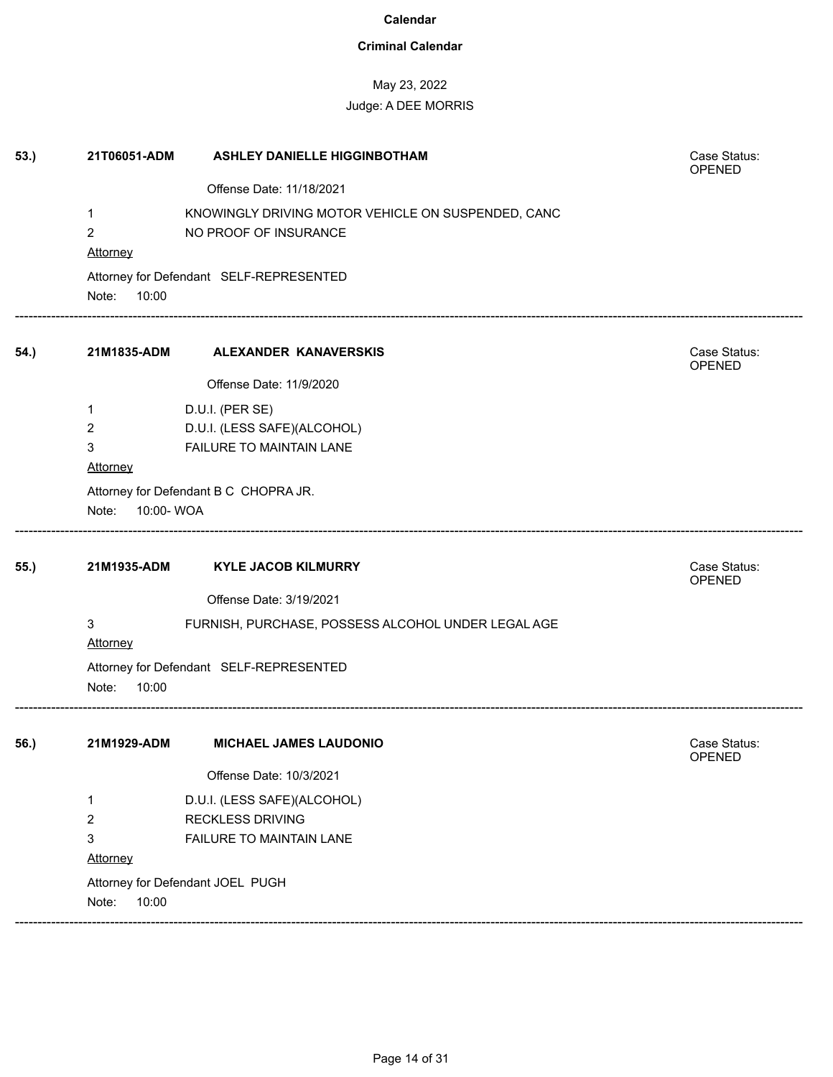### **Criminal Calendar**

# May 23, 2022

| 53.) | 21T06051-ADM                  | <b>ASHLEY DANIELLE HIGGINBOTHAM</b>                                         | Case Status:<br>OPENED |
|------|-------------------------------|-----------------------------------------------------------------------------|------------------------|
|      |                               | Offense Date: 11/18/2021                                                    |                        |
|      | $\mathbf{1}$<br>2<br>Attorney | KNOWINGLY DRIVING MOTOR VEHICLE ON SUSPENDED, CANC<br>NO PROOF OF INSURANCE |                        |
|      | Note:<br>10:00                | Attorney for Defendant SELF-REPRESENTED                                     |                        |
| 54.) | 21M1835-ADM                   | ALEXANDER KANAVERSKIS                                                       | Case Status:<br>OPENED |
|      |                               | Offense Date: 11/9/2020                                                     |                        |
|      | 1                             | D.U.I. (PER SE)                                                             |                        |
|      | 2                             | D.U.I. (LESS SAFE)(ALCOHOL)                                                 |                        |
|      | 3                             | FAILURE TO MAINTAIN LANE                                                    |                        |
|      | <b>Attorney</b>               |                                                                             |                        |
|      |                               | Attorney for Defendant B C CHOPRA JR.                                       |                        |
|      | 10:00-WOA<br>Note:            |                                                                             |                        |
| 55.) | 21M1935-ADM                   | <b>KYLE JACOB KILMURRY</b>                                                  | Case Status:<br>OPENED |
|      |                               | Offense Date: 3/19/2021                                                     |                        |
|      | 3<br>Attorney                 | FURNISH, PURCHASE, POSSESS ALCOHOL UNDER LEGAL AGE                          |                        |
|      | Note:<br>10:00                | Attorney for Defendant SELF-REPRESENTED                                     |                        |
| 56.) | 21M1929-ADM                   | <b>MICHAEL JAMES LAUDONIO</b>                                               | Case Status:<br>OPENED |
|      |                               | Offense Date: 10/3/2021                                                     |                        |
|      | 1                             | D.U.I. (LESS SAFE)(ALCOHOL)                                                 |                        |
|      | 2                             | <b>RECKLESS DRIVING</b>                                                     |                        |
|      | 3                             | FAILURE TO MAINTAIN LANE                                                    |                        |
|      | Attorney                      |                                                                             |                        |
|      |                               | Attorney for Defendant JOEL PUGH                                            |                        |
|      | Note:<br>10:00                |                                                                             |                        |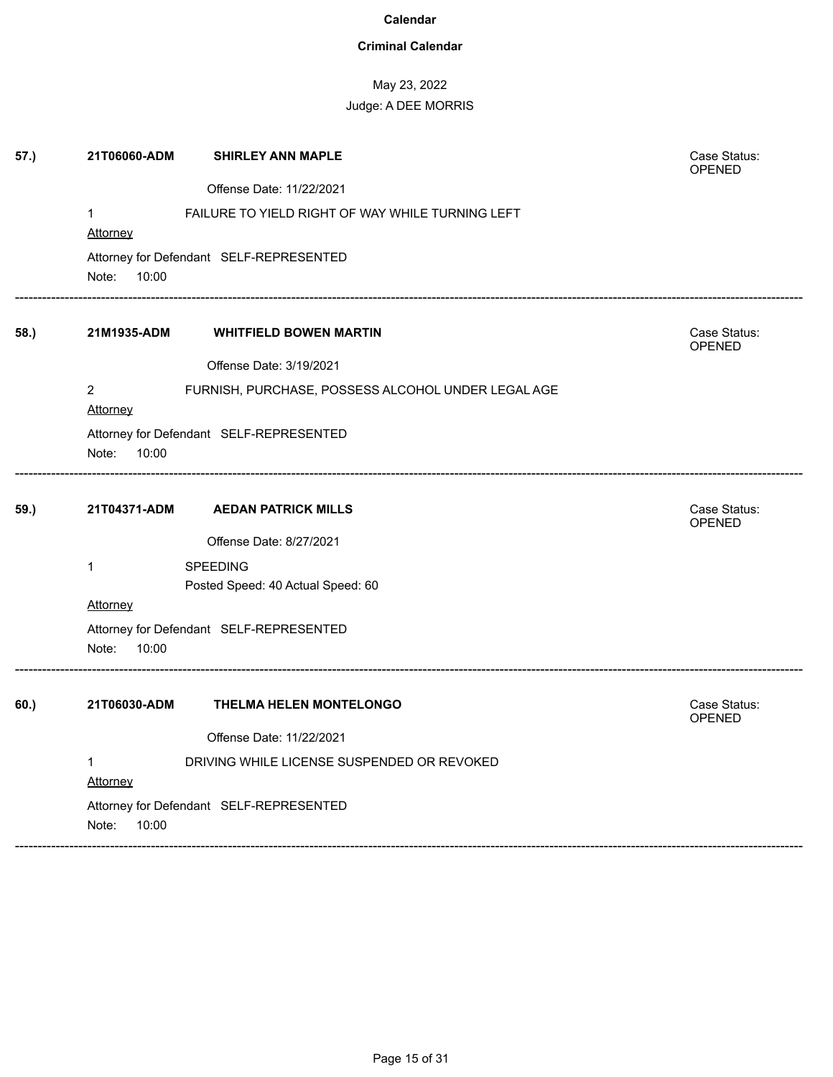### **Criminal Calendar**

# May 23, 2022

| 57.) | 21T06060-ADM    | <b>SHIRLEY ANN MAPLE</b>                           | Case Status:<br><b>OPENED</b> |
|------|-----------------|----------------------------------------------------|-------------------------------|
|      |                 | Offense Date: 11/22/2021                           |                               |
|      | $\mathbf{1}$    | FAILURE TO YIELD RIGHT OF WAY WHILE TURNING LEFT   |                               |
|      | Attorney        |                                                    |                               |
|      |                 | Attorney for Defendant SELF-REPRESENTED            |                               |
|      | Note:<br>10:00  |                                                    |                               |
| 58.) | 21M1935-ADM     | <b>WHITFIELD BOWEN MARTIN</b>                      | Case Status:<br>OPENED        |
|      |                 | Offense Date: 3/19/2021                            |                               |
|      | $\overline{2}$  | FURNISH, PURCHASE, POSSESS ALCOHOL UNDER LEGAL AGE |                               |
|      | Attorney        |                                                    |                               |
|      |                 | Attorney for Defendant SELF-REPRESENTED            |                               |
|      | Note:<br>10:00  |                                                    |                               |
| 59.) | 21T04371-ADM    | <b>AEDAN PATRICK MILLS</b>                         | Case Status:                  |
|      |                 | Offense Date: 8/27/2021                            | OPENED                        |
|      | $\mathbf{1}$    | <b>SPEEDING</b>                                    |                               |
|      |                 | Posted Speed: 40 Actual Speed: 60                  |                               |
|      | <u>Attorney</u> |                                                    |                               |
|      |                 | Attorney for Defendant SELF-REPRESENTED            |                               |
|      | Note:<br>10:00  |                                                    |                               |
| 60.) | 21T06030-ADM    | THELMA HELEN MONTELONGO                            | Case Status:<br>OPENED        |
|      |                 | Offense Date: 11/22/2021                           |                               |
|      | 1               | DRIVING WHILE LICENSE SUSPENDED OR REVOKED         |                               |
|      | Attorney        |                                                    |                               |
|      |                 | Attorney for Defendant SELF-REPRESENTED            |                               |
|      | Note:<br>10:00  |                                                    |                               |
|      |                 |                                                    |                               |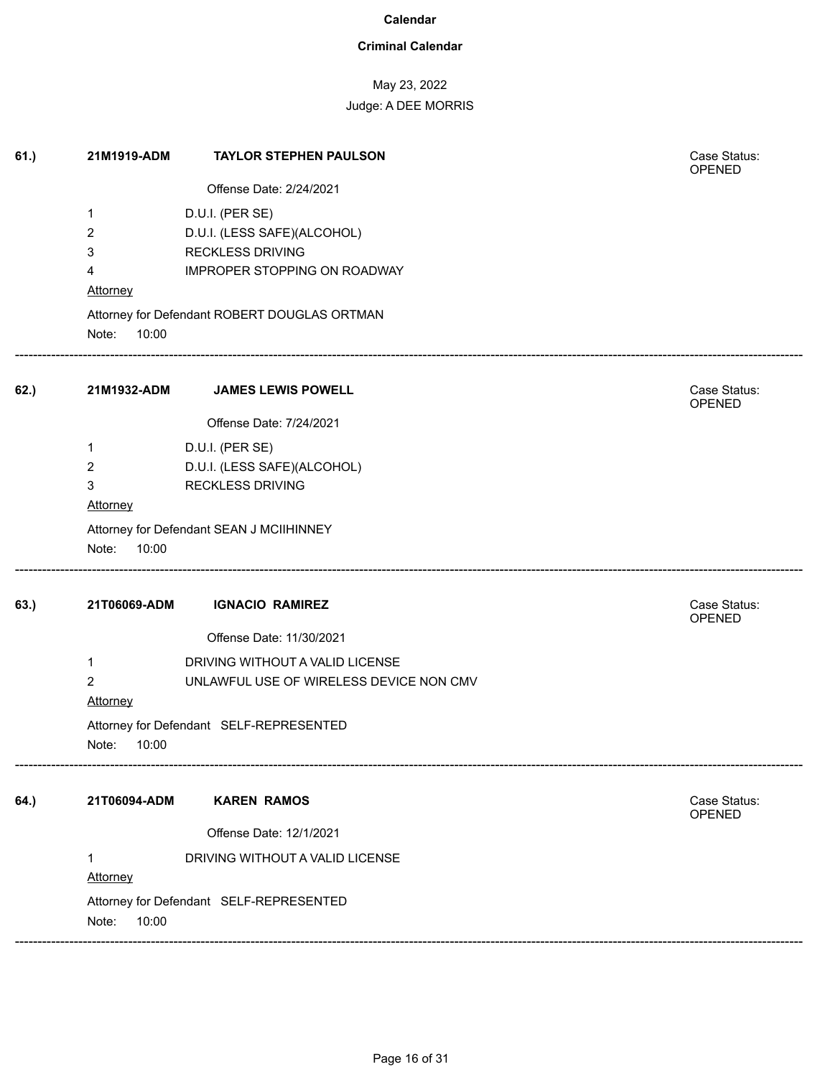### **Criminal Calendar**

# May 23, 2022

| 61.) | 21M1919-ADM          | <b>TAYLOR STEPHEN PAULSON</b>                | Case Status:<br>OPENED |
|------|----------------------|----------------------------------------------|------------------------|
|      |                      | Offense Date: 2/24/2021                      |                        |
|      | 1                    | D.U.I. (PER SE)                              |                        |
|      | 2                    | D.U.I. (LESS SAFE)(ALCOHOL)                  |                        |
|      | 3                    | <b>RECKLESS DRIVING</b>                      |                        |
|      | 4                    | IMPROPER STOPPING ON ROADWAY                 |                        |
|      | Attorney             |                                              |                        |
|      |                      | Attorney for Defendant ROBERT DOUGLAS ORTMAN |                        |
|      | Note:<br>10:00       |                                              |                        |
| 62.) | 21M1932-ADM          | <b>JAMES LEWIS POWELL</b>                    | Case Status:<br>OPENED |
|      |                      | Offense Date: 7/24/2021                      |                        |
|      | $\mathbf 1$          | D.U.I. (PER SE)                              |                        |
|      | 2                    | D.U.I. (LESS SAFE)(ALCOHOL)                  |                        |
|      | 3                    | <b>RECKLESS DRIVING</b>                      |                        |
|      | Attorney             |                                              |                        |
|      | 10:00<br>Note:       | Attorney for Defendant SEAN J MCIIHINNEY     |                        |
| 63.) | 21T06069-ADM         | <b>IGNACIO RAMIREZ</b>                       | Case Status:<br>OPENED |
|      |                      | Offense Date: 11/30/2021                     |                        |
|      | $\mathbf 1$          | DRIVING WITHOUT A VALID LICENSE              |                        |
|      | $\overline{2}$       | UNLAWFUL USE OF WIRELESS DEVICE NON CMV      |                        |
|      | Attorney             |                                              |                        |
|      | Note:<br>10:00       | Attorney for Defendant SELF-REPRESENTED      |                        |
| 64.) | 21T06094-ADM         | <b>KAREN RAMOS</b>                           | Case Status:<br>OPENED |
|      |                      | Offense Date: 12/1/2021                      |                        |
|      | 1<br><b>Attorney</b> | DRIVING WITHOUT A VALID LICENSE              |                        |
|      | 10:00<br>Note:       | Attorney for Defendant SELF-REPRESENTED      |                        |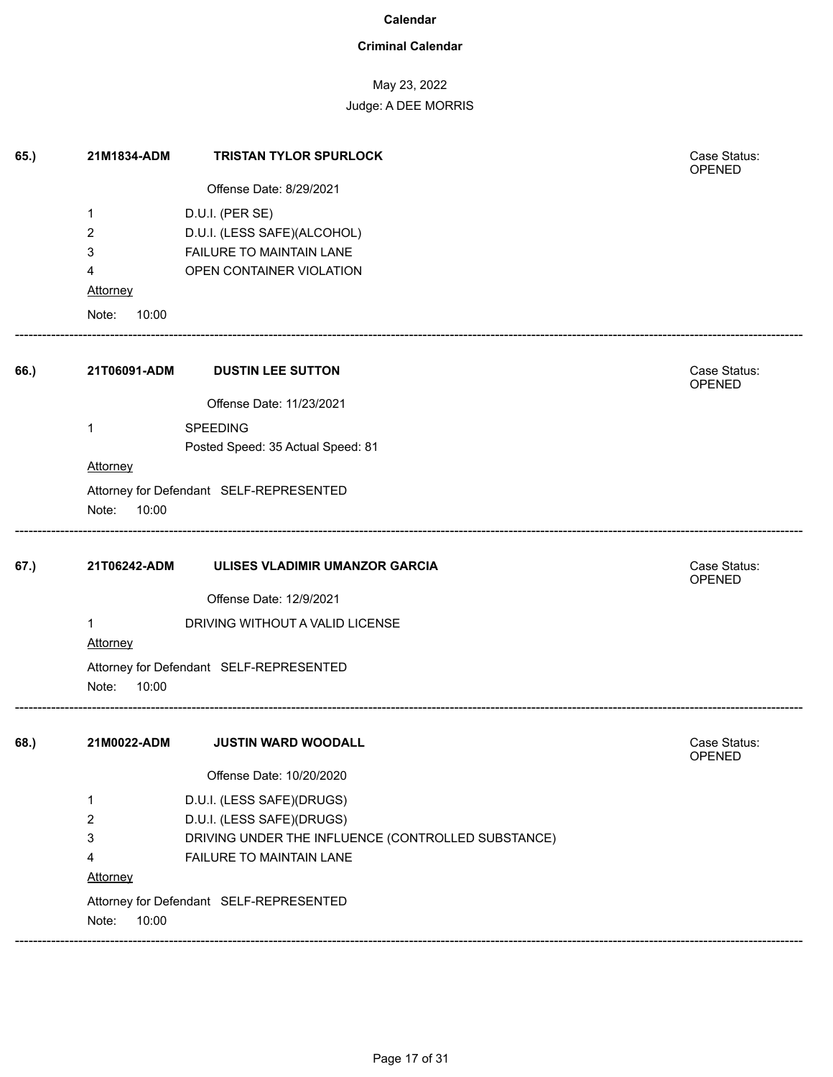### **Criminal Calendar**

# May 23, 2022

| 65.) | 21M1834-ADM     | <b>TRISTAN TYLOR SPURLOCK</b>                      | Case Status:<br>OPENED |
|------|-----------------|----------------------------------------------------|------------------------|
|      |                 | Offense Date: 8/29/2021                            |                        |
|      | 1               | D.U.I. (PER SE)                                    |                        |
|      | 2               | D.U.I. (LESS SAFE)(ALCOHOL)                        |                        |
|      | 3               | FAILURE TO MAINTAIN LANE                           |                        |
|      | 4               | OPEN CONTAINER VIOLATION                           |                        |
|      | <b>Attorney</b> |                                                    |                        |
|      | Note:<br>10:00  |                                                    |                        |
| 66.) | 21T06091-ADM    | <b>DUSTIN LEE SUTTON</b>                           | Case Status:<br>OPENED |
|      |                 | Offense Date: 11/23/2021                           |                        |
|      | 1               | <b>SPEEDING</b>                                    |                        |
|      |                 | Posted Speed: 35 Actual Speed: 81                  |                        |
|      | <b>Attorney</b> |                                                    |                        |
|      | Note:<br>10:00  | Attorney for Defendant SELF-REPRESENTED            |                        |
| 67.) | 21T06242-ADM    | ULISES VLADIMIR UMANZOR GARCIA                     | Case Status:<br>OPENED |
|      |                 | Offense Date: 12/9/2021                            |                        |
|      | 1<br>Attorney   | DRIVING WITHOUT A VALID LICENSE                    |                        |
|      | Note:<br>10:00  | Attorney for Defendant SELF-REPRESENTED            |                        |
| 68.) | 21M0022-ADM     | <b>JUSTIN WARD WOODALL</b>                         | Case Status:<br>OPENED |
|      |                 | Offense Date: 10/20/2020                           |                        |
|      | 1               | D.U.I. (LESS SAFE)(DRUGS)                          |                        |
|      | 2               | D.U.I. (LESS SAFE)(DRUGS)                          |                        |
|      | 3               | DRIVING UNDER THE INFLUENCE (CONTROLLED SUBSTANCE) |                        |
|      | 4               | FAILURE TO MAINTAIN LANE                           |                        |
|      | Attorney        |                                                    |                        |
|      | Note:<br>10:00  | Attorney for Defendant SELF-REPRESENTED            |                        |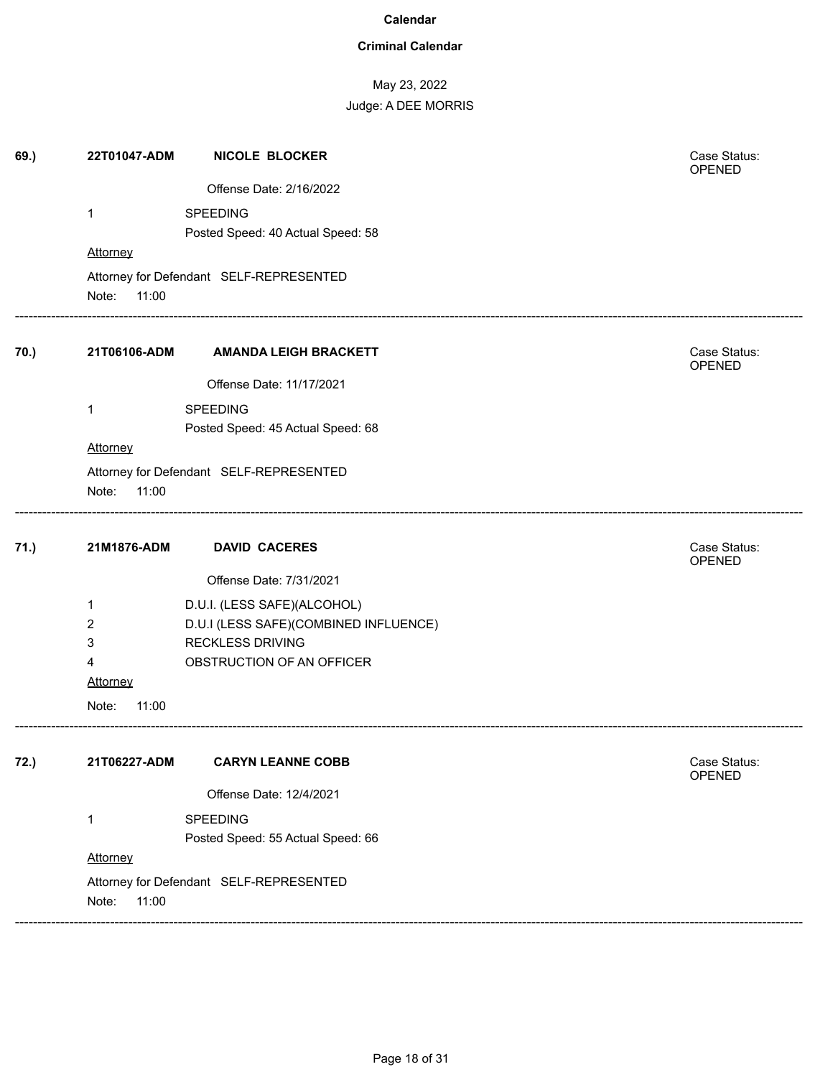### **Criminal Calendar**

# May 23, 2022 Judge: A DEE MORRIS

| 69.) | 22T01047-ADM   | <b>NICOLE BLOCKER</b>                   | Case Status:<br>OPENED |
|------|----------------|-----------------------------------------|------------------------|
|      |                | Offense Date: 2/16/2022                 |                        |
|      | 1              | SPEEDING                                |                        |
|      |                | Posted Speed: 40 Actual Speed: 58       |                        |
|      | Attorney       |                                         |                        |
|      |                | Attorney for Defendant SELF-REPRESENTED |                        |
|      | Note:<br>11:00 |                                         |                        |
| 70.) | 21T06106-ADM   | <b>AMANDA LEIGH BRACKETT</b>            | Case Status:<br>OPENED |
|      |                | Offense Date: 11/17/2021                |                        |
|      | 1              | SPEEDING                                |                        |
|      |                | Posted Speed: 45 Actual Speed: 68       |                        |
|      | Attorney       |                                         |                        |
|      |                | Attorney for Defendant SELF-REPRESENTED |                        |
|      | Note:<br>11:00 |                                         |                        |
| 71.) | 21M1876-ADM    | <b>DAVID CACERES</b>                    | Case Status:<br>OPENED |
|      |                | Offense Date: 7/31/2021                 |                        |
|      | 1              | D.U.I. (LESS SAFE)(ALCOHOL)             |                        |
|      | $\overline{2}$ | D.U.I (LESS SAFE)(COMBINED INFLUENCE)   |                        |
|      | 3              | <b>RECKLESS DRIVING</b>                 |                        |
|      | 4              | OBSTRUCTION OF AN OFFICER               |                        |
|      | Attorney       |                                         |                        |
|      | Note:<br>11:00 |                                         |                        |
| 72.) | 21T06227-ADM   | <b>CARYN LEANNE COBB</b>                | Case Status:<br>OPENED |
|      |                | Offense Date: 12/4/2021                 |                        |
|      | 1              | SPEEDING                                |                        |
|      |                | Posted Speed: 55 Actual Speed: 66       |                        |
|      | Attorney       |                                         |                        |
|      |                | Attorney for Defendant SELF-REPRESENTED |                        |
|      | Note:<br>11:00 |                                         |                        |
|      |                |                                         |                        |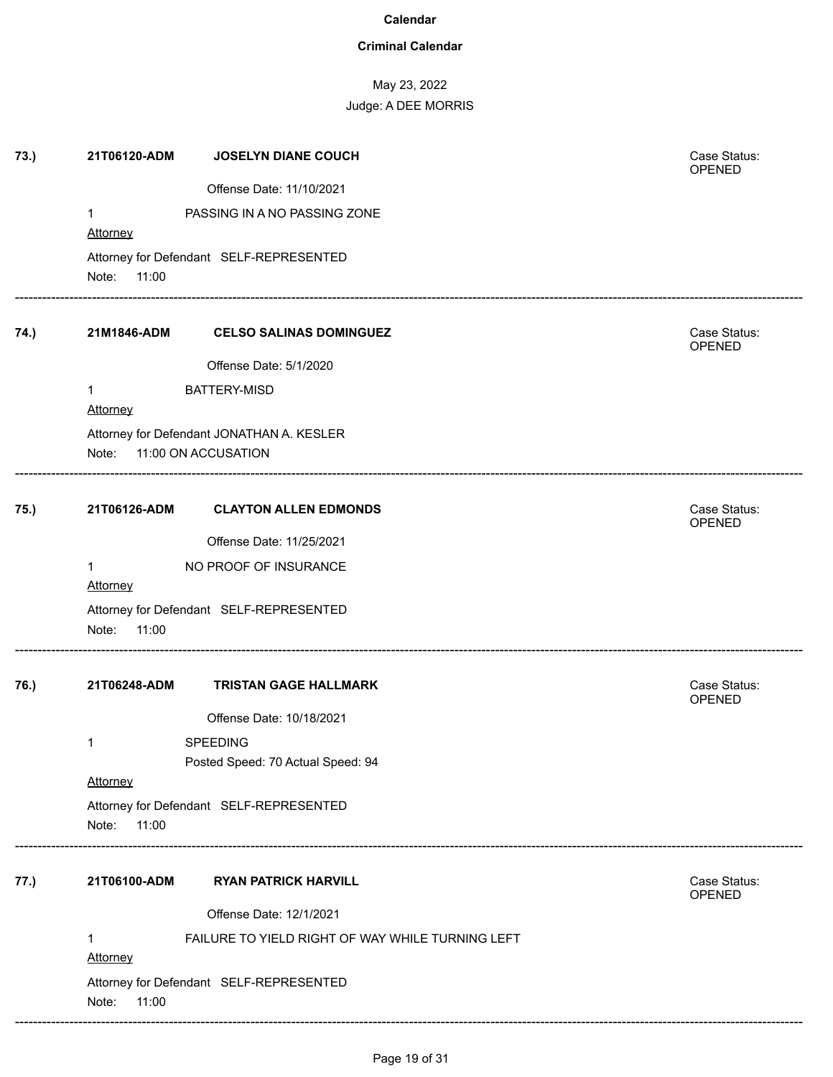### **Criminal Calendar**

| 73.) | 21T06120-ADM             | <b>JOSELYN DIANE COUCH</b>                                       | Case Status:<br>OPENED |
|------|--------------------------|------------------------------------------------------------------|------------------------|
|      |                          | Offense Date: 11/10/2021                                         |                        |
|      | $\mathbf{1}$             | PASSING IN A NO PASSING ZONE                                     |                        |
|      | Attorney                 |                                                                  |                        |
|      | Note: 11:00              | Attorney for Defendant SELF-REPRESENTED                          |                        |
| 74.) | 21M1846-ADM              | <b>CELSO SALINAS DOMINGUEZ</b>                                   | Case Status:<br>OPENED |
|      |                          | Offense Date: 5/1/2020                                           |                        |
|      | $\mathbf{1}$<br>Attorney | <b>BATTERY-MISD</b>                                              |                        |
|      | Note:                    | Attorney for Defendant JONATHAN A. KESLER<br>11:00 ON ACCUSATION |                        |
| 75.) | 21T06126-ADM             | <b>CLAYTON ALLEN EDMONDS</b>                                     | Case Status:<br>OPENED |
|      |                          | Offense Date: 11/25/2021                                         |                        |
|      | 1                        | NO PROOF OF INSURANCE                                            |                        |
|      | Attorney                 |                                                                  |                        |
|      | Note:<br>11:00           | Attorney for Defendant SELF-REPRESENTED                          |                        |
| 76.) | 21T06248-ADM             | <b>TRISTAN GAGE HALLMARK</b>                                     | Case Status:<br>OPENED |
|      |                          | Offense Date: 10/18/2021                                         |                        |
|      | 1                        | <b>SPEEDING</b>                                                  |                        |
|      |                          | Posted Speed: 70 Actual Speed: 94                                |                        |
|      | Attorney                 |                                                                  |                        |
|      | Note:<br>11:00           | Attorney for Defendant SELF-REPRESENTED                          |                        |
| 77.) | 21T06100-ADM             | <b>RYAN PATRICK HARVILL</b>                                      | Case Status:<br>OPENED |
|      |                          | Offense Date: 12/1/2021                                          |                        |
|      | $\mathbf{1}$<br>Attorney | FAILURE TO YIELD RIGHT OF WAY WHILE TURNING LEFT                 |                        |
|      | Note:<br>11:00           | Attorney for Defendant SELF-REPRESENTED                          |                        |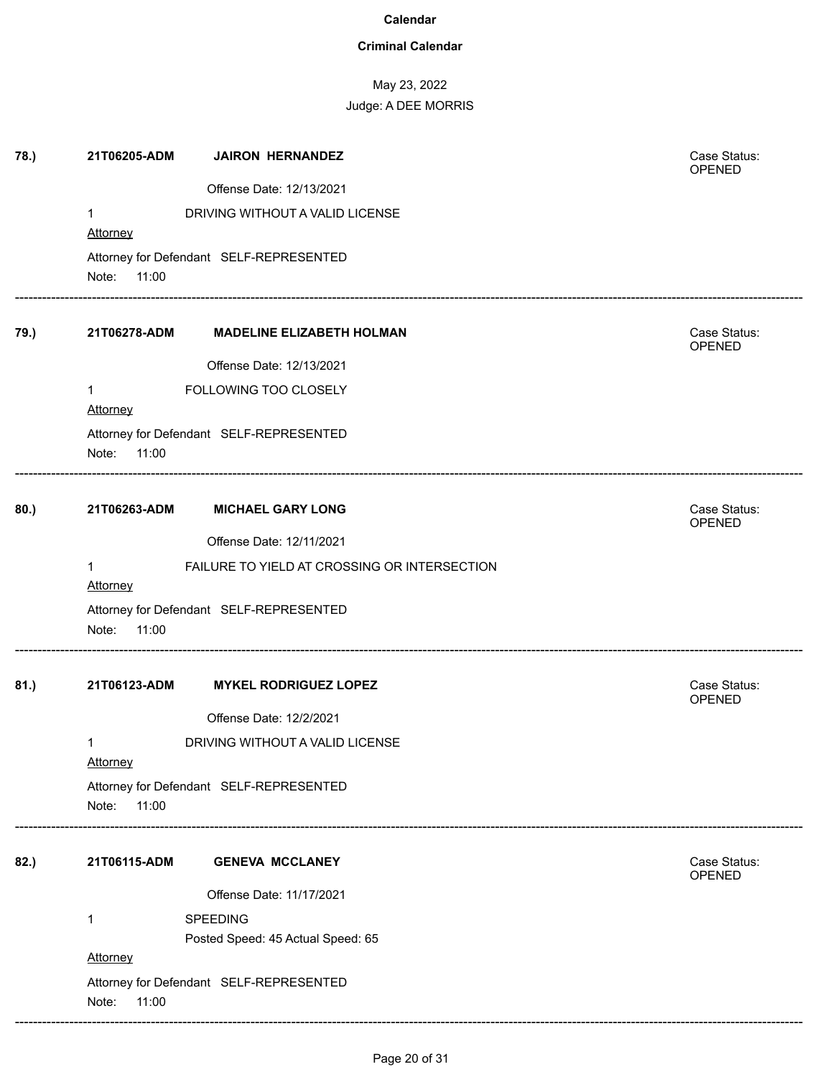### **Criminal Calendar**

| 78.) | 21T06205-ADM             | <b>JAIRON HERNANDEZ</b>                      | Case Status:<br>OPENED |
|------|--------------------------|----------------------------------------------|------------------------|
|      |                          | Offense Date: 12/13/2021                     |                        |
|      | 1                        | DRIVING WITHOUT A VALID LICENSE              |                        |
|      | <b>Attorney</b>          |                                              |                        |
|      |                          | Attorney for Defendant SELF-REPRESENTED      |                        |
|      | Note: 11:00              |                                              |                        |
| 79.) | 21T06278-ADM             | <b>MADELINE ELIZABETH HOLMAN</b>             | Case Status:<br>OPENED |
|      |                          | Offense Date: 12/13/2021                     |                        |
|      | $\mathbf{1}$<br>Attorney | FOLLOWING TOO CLOSELY                        |                        |
|      | Note:<br>11:00           | Attorney for Defendant SELF-REPRESENTED      |                        |
| 80.) | 21T06263-ADM             | <b>MICHAEL GARY LONG</b>                     | Case Status:<br>OPENED |
|      |                          | Offense Date: 12/11/2021                     |                        |
|      | 1<br><b>Attorney</b>     | FAILURE TO YIELD AT CROSSING OR INTERSECTION |                        |
|      | Note:<br>11:00           | Attorney for Defendant SELF-REPRESENTED      |                        |
| 81.) | 21T06123-ADM             | <b>MYKEL RODRIGUEZ LOPEZ</b>                 | Case Status:<br>OPENED |
|      |                          | Offense Date: 12/2/2021                      |                        |
|      | 1<br>Attorney            | DRIVING WITHOUT A VALID LICENSE              |                        |
|      | Note:<br>11:00           | Attorney for Defendant SELF-REPRESENTED      |                        |
| 82.) | 21T06115-ADM             | <b>GENEVA MCCLANEY</b>                       | Case Status:<br>OPENED |
|      |                          | Offense Date: 11/17/2021                     |                        |
|      | 1                        | SPEEDING                                     |                        |
|      |                          | Posted Speed: 45 Actual Speed: 65            |                        |
|      | Note:<br>11:00           | Attorney for Defendant SELF-REPRESENTED      |                        |
|      | Attorney                 |                                              |                        |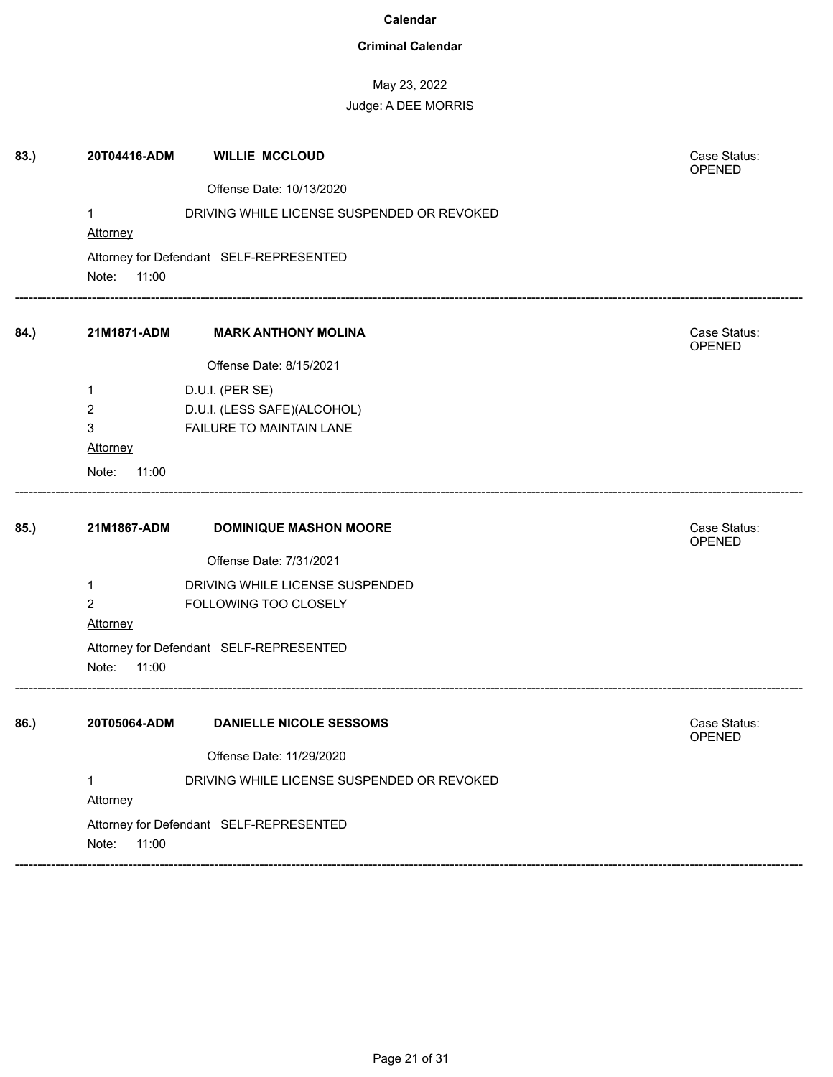### **Criminal Calendar**

| 83.) | 20T04416-ADM   | <b>WILLIE MCCLOUD</b>                      | Case Status:<br>OPENED |
|------|----------------|--------------------------------------------|------------------------|
|      |                | Offense Date: 10/13/2020                   |                        |
|      | 1              | DRIVING WHILE LICENSE SUSPENDED OR REVOKED |                        |
|      | Attorney       |                                            |                        |
|      |                | Attorney for Defendant SELF-REPRESENTED    |                        |
|      | Note:<br>11:00 |                                            |                        |
| 84.) | 21M1871-ADM    | <b>MARK ANTHONY MOLINA</b>                 | Case Status:<br>OPENED |
|      |                | Offense Date: 8/15/2021                    |                        |
|      | 1              | D.U.I. (PER SE)                            |                        |
|      | 2              | D.U.I. (LESS SAFE)(ALCOHOL)                |                        |
|      | 3              | FAILURE TO MAINTAIN LANE                   |                        |
|      | Attorney       |                                            |                        |
|      | Note:<br>11:00 |                                            |                        |
| 85.) | 21M1867-ADM    | <b>DOMINIQUE MASHON MOORE</b>              | Case Status:<br>OPENED |
|      |                | Offense Date: 7/31/2021                    |                        |
|      | 1              | DRIVING WHILE LICENSE SUSPENDED            |                        |
|      | 2              | FOLLOWING TOO CLOSELY                      |                        |
|      | Attorney       |                                            |                        |
|      |                | Attorney for Defendant SELF-REPRESENTED    |                        |
|      |                |                                            |                        |
|      | Note:<br>11:00 |                                            |                        |
| 86.) | 20T05064-ADM   | <b>DANIELLE NICOLE SESSOMS</b>             | Case Status:<br>OPENED |
|      |                | Offense Date: 11/29/2020                   |                        |
|      | 1              | DRIVING WHILE LICENSE SUSPENDED OR REVOKED |                        |
|      | Attorney       |                                            |                        |
|      |                | Attorney for Defendant SELF-REPRESENTED    |                        |
|      | Note:<br>11:00 |                                            |                        |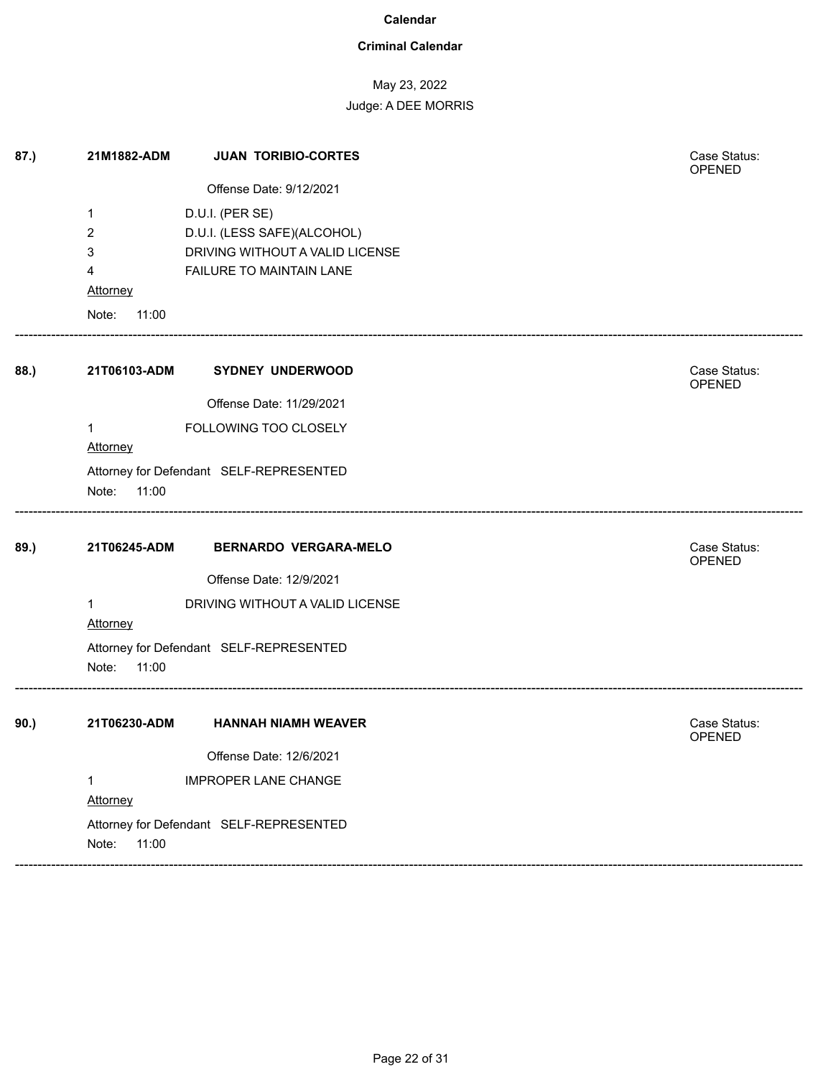### **Criminal Calendar**

### May 23, 2022

| 87.) | 21M1882-ADM     | <b>JUAN TORIBIO-CORTES</b>              | Case Status:<br>OPENED |
|------|-----------------|-----------------------------------------|------------------------|
|      |                 | Offense Date: 9/12/2021                 |                        |
|      | 1               | D.U.I. (PER SE)                         |                        |
|      | 2               | D.U.I. (LESS SAFE)(ALCOHOL)             |                        |
|      | 3               | DRIVING WITHOUT A VALID LICENSE         |                        |
|      | 4               | FAILURE TO MAINTAIN LANE                |                        |
|      | <b>Attorney</b> |                                         |                        |
|      | Note:<br>11:00  |                                         |                        |
| 88.) | 21T06103-ADM    | <b>SYDNEY UNDERWOOD</b>                 | Case Status:<br>OPENED |
|      |                 | Offense Date: 11/29/2021                |                        |
|      | 1               | FOLLOWING TOO CLOSELY                   |                        |
|      | Attorney        |                                         |                        |
|      |                 | Attorney for Defendant SELF-REPRESENTED |                        |
|      | Note:<br>11:00  |                                         |                        |
| 89.) | 21T06245-ADM    | <b>BERNARDO VERGARA-MELO</b>            | Case Status:<br>OPENED |
|      |                 | Offense Date: 12/9/2021                 |                        |
|      | 1<br>Attorney   | DRIVING WITHOUT A VALID LICENSE         |                        |
|      | Note:<br>11:00  | Attorney for Defendant SELF-REPRESENTED |                        |
| 90.) | 21T06230-ADM    | <b>HANNAH NIAMH WEAVER</b>              | Case Status:<br>OPENED |
|      |                 | Offense Date: 12/6/2021                 |                        |
|      | 1               | <b>IMPROPER LANE CHANGE</b>             |                        |
|      | Attorney        |                                         |                        |
|      |                 | Attorney for Defendant SELF-REPRESENTED |                        |
|      | Note:<br>11:00  |                                         |                        |
|      |                 |                                         |                        |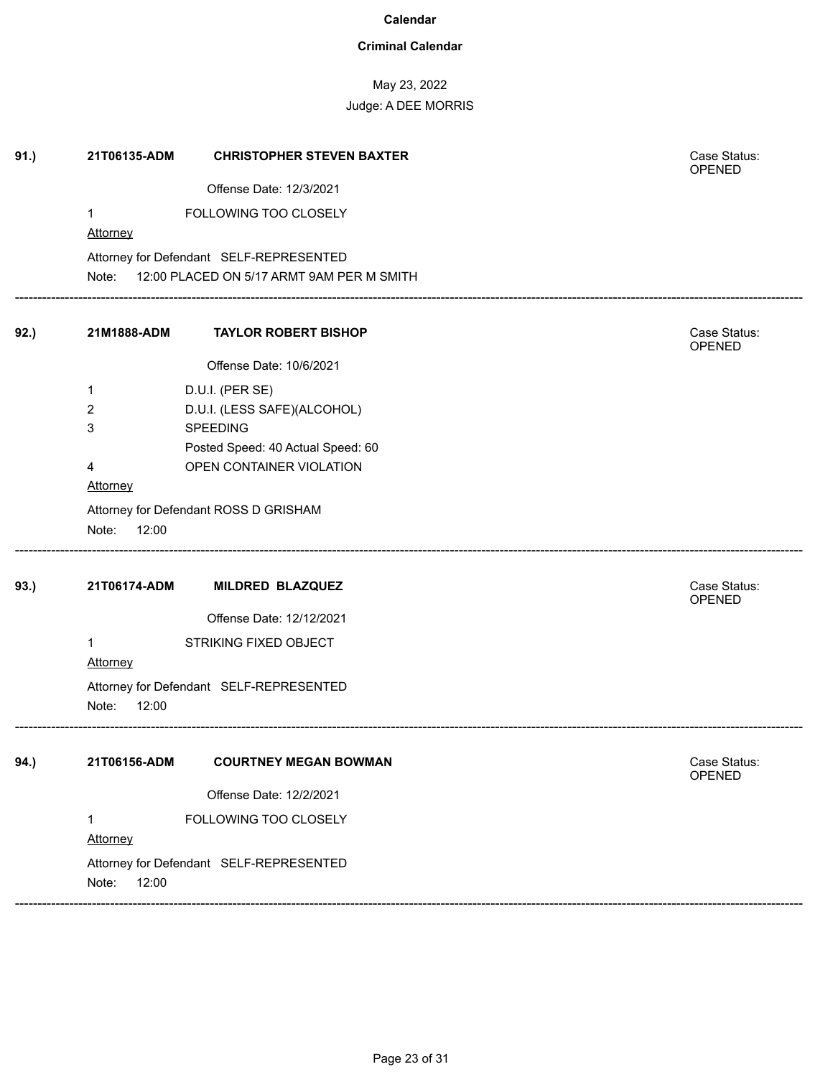### **Criminal Calendar**

May 23, 2022

Judge: A DEE MORRIS

| 91.) | 21T06135-ADM             | <b>CHRISTOPHER STEVEN BAXTER</b>          | Case Status:<br>OPENED |
|------|--------------------------|-------------------------------------------|------------------------|
|      |                          | Offense Date: 12/3/2021                   |                        |
|      | $\mathbf{1}$<br>Attorney | FOLLOWING TOO CLOSELY                     |                        |
|      |                          | Attorney for Defendant SELF-REPRESENTED   |                        |
|      | Note:                    | 12:00 PLACED ON 5/17 ARMT 9AM PER M SMITH |                        |
| 92.) | 21M1888-ADM              | <b>TAYLOR ROBERT BISHOP</b>               | Case Status:<br>OPENED |
|      |                          | Offense Date: 10/6/2021                   |                        |
|      | 1                        | D.U.I. (PER SE)                           |                        |
|      | 2                        | D.U.I. (LESS SAFE)(ALCOHOL)               |                        |
|      | 3                        | <b>SPEEDING</b>                           |                        |
|      |                          | Posted Speed: 40 Actual Speed: 60         |                        |
|      | 4                        | OPEN CONTAINER VIOLATION                  |                        |
|      | Attorney                 |                                           |                        |
|      |                          | Attorney for Defendant ROSS D GRISHAM     |                        |
|      | Note:<br>12:00           |                                           |                        |
| 93.) | 21T06174-ADM             | <b>MILDRED BLAZQUEZ</b>                   | Case Status:<br>OPENED |
|      |                          | Offense Date: 12/12/2021                  |                        |
|      | 1                        | STRIKING FIXED OBJECT                     |                        |
|      | Attorney                 |                                           |                        |
|      | Note:<br>12:00           | Attorney for Defendant SELF-REPRESENTED   |                        |
| 94.) | 21T06156-ADM             | <b>COURTNEY MEGAN BOWMAN</b>              | Case Status:<br>OPENED |
|      |                          | Offense Date: 12/2/2021                   |                        |
|      | 1<br>Attorney            | FOLLOWING TOO CLOSELY                     |                        |
|      | 12:00<br>Note:           | Attorney for Defendant SELF-REPRESENTED   |                        |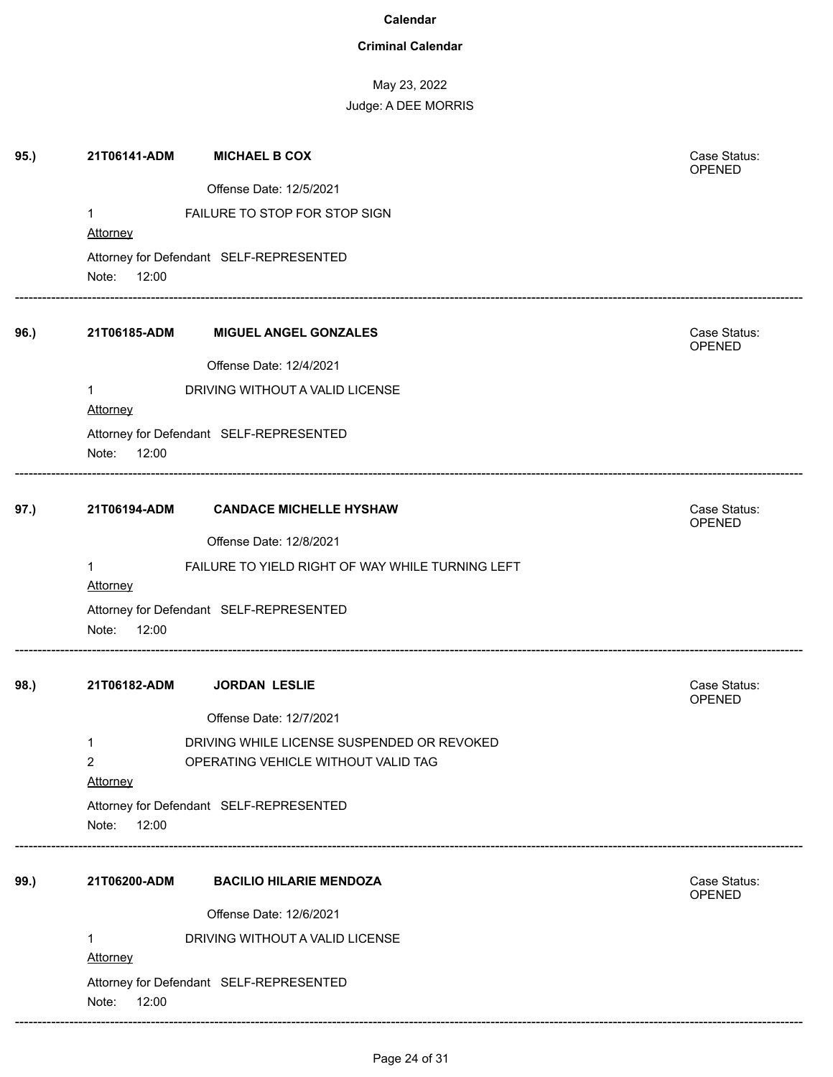### **Criminal Calendar**

| 95.) | 21T06141-ADM    | <b>MICHAEL B COX</b>                             | Case Status:<br>OPENED        |
|------|-----------------|--------------------------------------------------|-------------------------------|
|      |                 | Offense Date: 12/5/2021                          |                               |
|      | $\mathbf{1}$    | FAILURE TO STOP FOR STOP SIGN                    |                               |
|      | Attorney        |                                                  |                               |
|      |                 | Attorney for Defendant SELF-REPRESENTED          |                               |
|      | Note:<br>12:00  |                                                  |                               |
| 96.) | 21T06185-ADM    | <b>MIGUEL ANGEL GONZALES</b>                     | Case Status:<br>OPENED        |
|      |                 | Offense Date: 12/4/2021                          |                               |
|      | 1<br>Attorney   | DRIVING WITHOUT A VALID LICENSE                  |                               |
|      |                 | Attorney for Defendant SELF-REPRESENTED          |                               |
|      | Note:<br>12:00  |                                                  |                               |
| 97.) | 21T06194-ADM    | <b>CANDACE MICHELLE HYSHAW</b>                   | Case Status:<br>OPENED        |
|      |                 | Offense Date: 12/8/2021                          |                               |
|      | 1               | FAILURE TO YIELD RIGHT OF WAY WHILE TURNING LEFT |                               |
|      | <b>Attorney</b> |                                                  |                               |
|      | Note:<br>12:00  | Attorney for Defendant SELF-REPRESENTED          |                               |
|      |                 |                                                  |                               |
| 98.) | 21T06182-ADM    | <b>JORDAN LESLIE</b>                             | Case Status:<br><b>OPENED</b> |
|      |                 | Offense Date: 12/7/2021                          |                               |
|      | 1               | DRIVING WHILE LICENSE SUSPENDED OR REVOKED       |                               |
|      | $\overline{2}$  | OPERATING VEHICLE WITHOUT VALID TAG              |                               |
|      | Attorney        |                                                  |                               |
|      | Note:<br>12:00  | Attorney for Defendant SELF-REPRESENTED          |                               |
|      |                 |                                                  |                               |
| 99.) | 21T06200-ADM    | <b>BACILIO HILARIE MENDOZA</b>                   | Case Status:<br>OPENED        |
|      |                 | Offense Date: 12/6/2021                          |                               |
|      | 1<br>Attorney   | DRIVING WITHOUT A VALID LICENSE                  |                               |
|      | Note:<br>12:00  | Attorney for Defendant SELF-REPRESENTED          |                               |
|      |                 |                                                  |                               |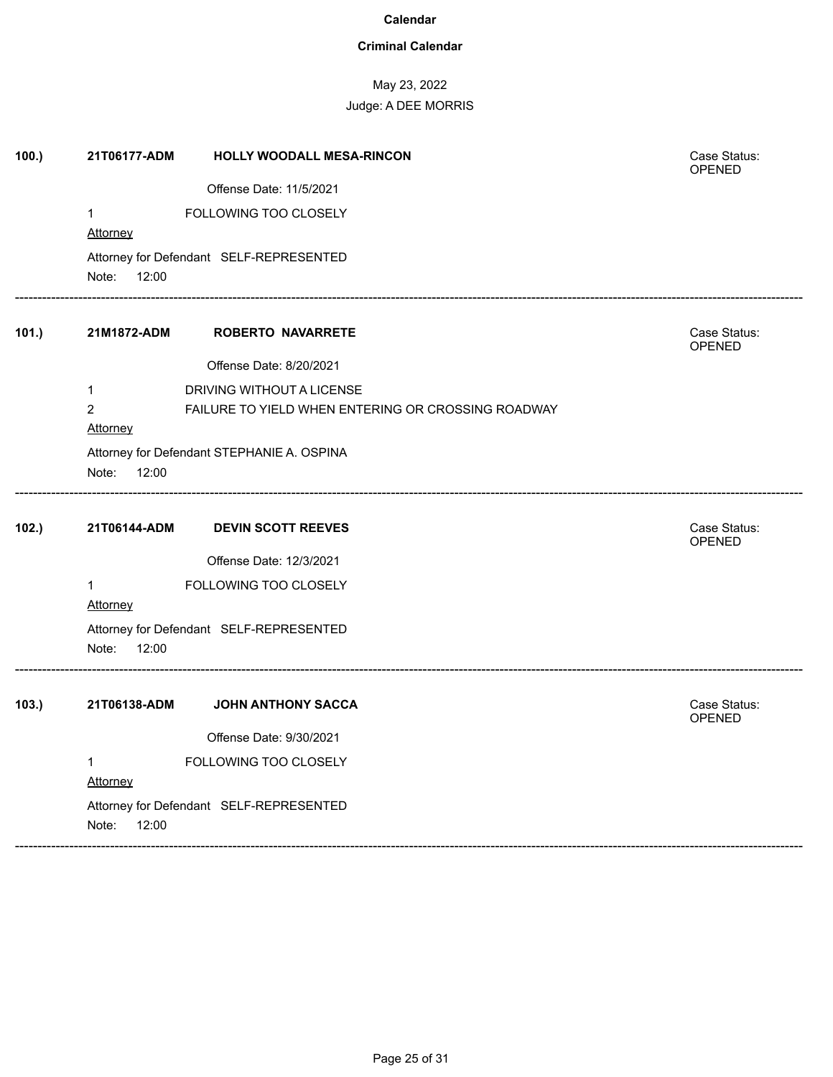### **Criminal Calendar**

May 23, 2022

| 100.) | 21T06177-ADM                            | HOLLY WOODALL MESA-RINCON                          | Case Status:<br><b>OPENED</b> |
|-------|-----------------------------------------|----------------------------------------------------|-------------------------------|
|       |                                         | Offense Date: 11/5/2021                            |                               |
|       | $\mathbf{1}$                            | FOLLOWING TOO CLOSELY                              |                               |
|       | Attorney                                |                                                    |                               |
|       | Attorney for Defendant SELF-REPRESENTED |                                                    |                               |
|       | Note:<br>12:00                          |                                                    |                               |
| 101.) | 21M1872-ADM                             | <b>ROBERTO NAVARRETE</b>                           | Case Status:<br>OPENED        |
|       |                                         | Offense Date: 8/20/2021                            |                               |
|       | $\mathbf{1}$                            | DRIVING WITHOUT A LICENSE                          |                               |
|       | $\overline{c}$                          | FAILURE TO YIELD WHEN ENTERING OR CROSSING ROADWAY |                               |
|       | Attorney                                |                                                    |                               |
|       |                                         | Attorney for Defendant STEPHANIE A. OSPINA         |                               |
|       | Note:<br>12:00                          |                                                    |                               |
| 102.) | 21T06144-ADM                            | <b>DEVIN SCOTT REEVES</b>                          | Case Status:<br>OPENED        |
|       |                                         | Offense Date: 12/3/2021                            |                               |
|       | $\mathbf{1}$                            | FOLLOWING TOO CLOSELY                              |                               |
|       | Attorney                                |                                                    |                               |
|       | Note:<br>12:00                          | Attorney for Defendant SELF-REPRESENTED            |                               |
| 103.  | 21T06138-ADM                            | <b>JOHN ANTHONY SACCA</b>                          | Case Status:<br><b>OPENED</b> |
|       |                                         | Offense Date: 9/30/2021                            |                               |
|       | 1                                       | FOLLOWING TOO CLOSELY                              |                               |
|       | <b>Attorney</b>                         |                                                    |                               |
|       | Attorney for Defendant SELF-REPRESENTED |                                                    |                               |
|       | Note:<br>12:00                          |                                                    |                               |
|       |                                         |                                                    |                               |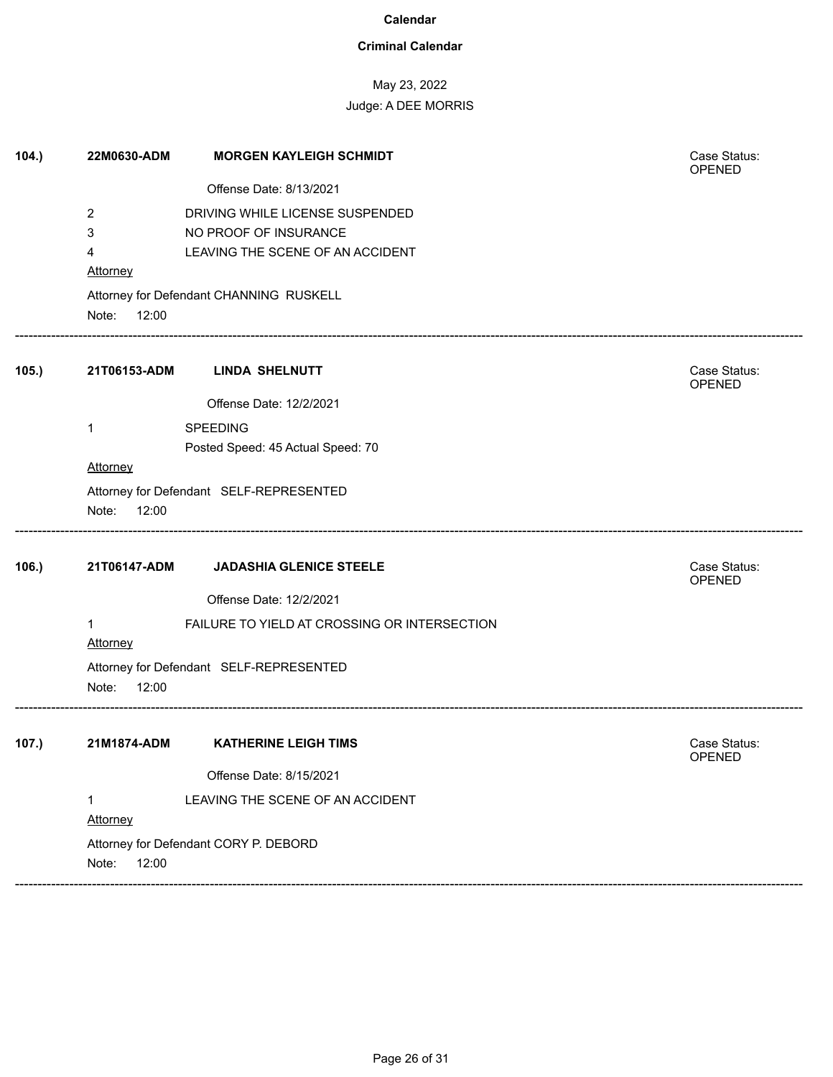### **Criminal Calendar**

# May 23, 2022

| 104.  | 22M0630-ADM     | <b>MORGEN KAYLEIGH SCHMIDT</b>               | Case Status:<br>OPENED |  |  |
|-------|-----------------|----------------------------------------------|------------------------|--|--|
|       |                 | Offense Date: 8/13/2021                      |                        |  |  |
|       | 2               | DRIVING WHILE LICENSE SUSPENDED              |                        |  |  |
|       | 3               | NO PROOF OF INSURANCE                        |                        |  |  |
|       | 4               | LEAVING THE SCENE OF AN ACCIDENT             |                        |  |  |
|       | Attorney        |                                              |                        |  |  |
|       |                 | Attorney for Defendant CHANNING RUSKELL      |                        |  |  |
|       | Note:<br>12:00  |                                              |                        |  |  |
| 105.  | 21T06153-ADM    | <b>LINDA SHELNUTT</b>                        | Case Status:<br>OPENED |  |  |
|       |                 | Offense Date: 12/2/2021                      |                        |  |  |
|       | 1               | <b>SPEEDING</b>                              |                        |  |  |
|       |                 | Posted Speed: 45 Actual Speed: 70            |                        |  |  |
|       | Attorney        |                                              |                        |  |  |
|       |                 | Attorney for Defendant SELF-REPRESENTED      |                        |  |  |
|       | Note:<br>12:00  |                                              |                        |  |  |
| 106.) | 21T06147-ADM    | <b>JADASHIA GLENICE STEELE</b>               | Case Status:<br>OPENED |  |  |
|       |                 | Offense Date: 12/2/2021                      |                        |  |  |
|       | 1               | FAILURE TO YIELD AT CROSSING OR INTERSECTION |                        |  |  |
|       | <b>Attorney</b> |                                              |                        |  |  |
|       |                 | Attorney for Defendant SELF-REPRESENTED      |                        |  |  |
|       | Note:<br>12:00  |                                              |                        |  |  |
| 107.) | 21M1874-ADM     | <b>KATHERINE LEIGH TIMS</b>                  | Case Status:           |  |  |
|       |                 |                                              | <b>OPENED</b>          |  |  |
|       |                 | Offense Date: 8/15/2021                      |                        |  |  |
|       | 1               | LEAVING THE SCENE OF AN ACCIDENT             |                        |  |  |
|       | Attorney        |                                              |                        |  |  |
|       |                 | Attorney for Defendant CORY P. DEBORD        |                        |  |  |
|       | Note:<br>12:00  |                                              |                        |  |  |
|       |                 |                                              |                        |  |  |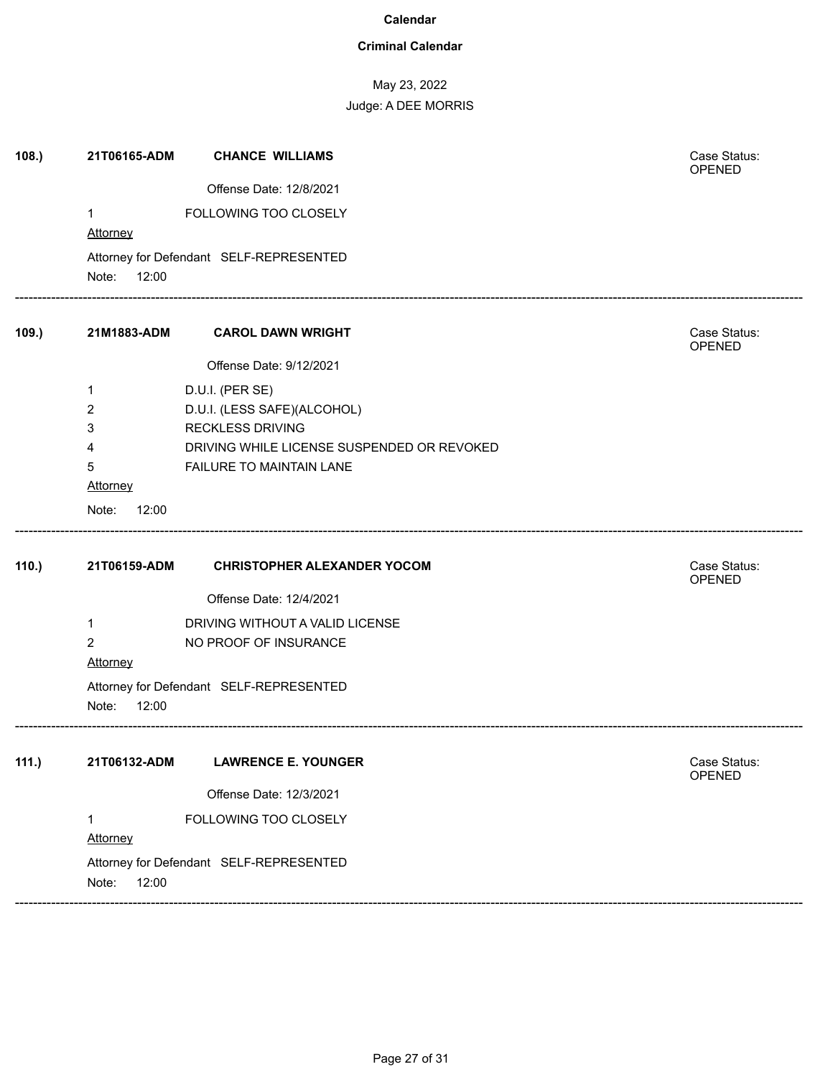### **Criminal Calendar**

May 23, 2022

Judge: A DEE MORRIS

| 108.  | 21T06165-ADM                                              | <b>CHANCE WILLIAMS</b>                     | Case Status:<br>OPENED        |
|-------|-----------------------------------------------------------|--------------------------------------------|-------------------------------|
|       |                                                           | Offense Date: 12/8/2021                    |                               |
|       | 1<br>Attorney                                             | FOLLOWING TOO CLOSELY                      |                               |
|       | Attorney for Defendant SELF-REPRESENTED<br>Note:<br>12:00 |                                            |                               |
| 109.) | 21M1883-ADM                                               | <b>CAROL DAWN WRIGHT</b>                   | Case Status:<br>OPENED        |
|       |                                                           | Offense Date: 9/12/2021                    |                               |
|       | 1                                                         | D.U.I. (PER SE)                            |                               |
|       | 2                                                         | D.U.I. (LESS SAFE)(ALCOHOL)                |                               |
|       | 3                                                         | <b>RECKLESS DRIVING</b>                    |                               |
|       | 4                                                         | DRIVING WHILE LICENSE SUSPENDED OR REVOKED |                               |
|       | 5<br>Attorney                                             | FAILURE TO MAINTAIN LANE                   |                               |
|       |                                                           |                                            |                               |
|       | Note:<br>12:00                                            |                                            |                               |
| 110.) | 21T06159-ADM                                              | <b>CHRISTOPHER ALEXANDER YOCOM</b>         | Case Status:<br>OPENED        |
|       |                                                           | Offense Date: 12/4/2021                    |                               |
|       | 1                                                         | DRIVING WITHOUT A VALID LICENSE            |                               |
|       | $\overline{2}$                                            | NO PROOF OF INSURANCE                      |                               |
|       | <b>Attorney</b>                                           |                                            |                               |
|       | Attorney for Defendant SELF-REPRESENTED<br>Note:<br>12:00 |                                            |                               |
| 111.) | 21T06132-ADM                                              | <b>LAWRENCE E. YOUNGER</b>                 | Case Status:<br><b>OPENED</b> |
|       |                                                           | Offense Date: 12/3/2021                    |                               |
|       | 1                                                         | FOLLOWING TOO CLOSELY                      |                               |
|       | Attorney                                                  |                                            |                               |
|       | Attorney for Defendant SELF-REPRESENTED<br>Note:<br>12:00 |                                            |                               |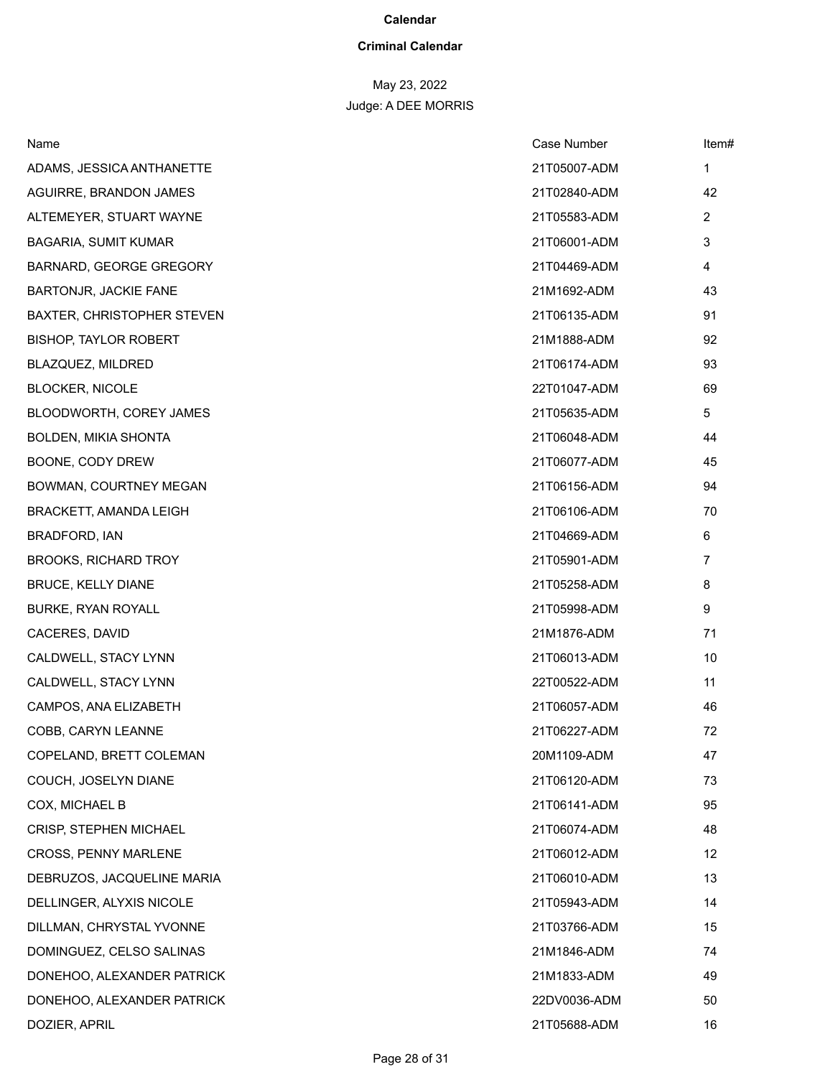### **Criminal Calendar**

| Name                              | Case Number  | Item#          |
|-----------------------------------|--------------|----------------|
| ADAMS, JESSICA ANTHANETTE         | 21T05007-ADM | 1              |
| AGUIRRE, BRANDON JAMES            | 21T02840-ADM | 42             |
| ALTEMEYER, STUART WAYNE           | 21T05583-ADM | $\overline{2}$ |
| BAGARIA, SUMIT KUMAR              | 21T06001-ADM | 3              |
| BARNARD, GEORGE GREGORY           | 21T04469-ADM | 4              |
| BARTONJR, JACKIE FANE             | 21M1692-ADM  | 43             |
| <b>BAXTER, CHRISTOPHER STEVEN</b> | 21T06135-ADM | 91             |
| <b>BISHOP, TAYLOR ROBERT</b>      | 21M1888-ADM  | 92             |
| BLAZQUEZ, MILDRED                 | 21T06174-ADM | 93             |
| <b>BLOCKER, NICOLE</b>            | 22T01047-ADM | 69             |
| BLOODWORTH, COREY JAMES           | 21T05635-ADM | 5              |
| BOLDEN, MIKIA SHONTA              | 21T06048-ADM | 44             |
| BOONE, CODY DREW                  | 21T06077-ADM | 45             |
| BOWMAN, COURTNEY MEGAN            | 21T06156-ADM | 94             |
| BRACKETT, AMANDA LEIGH            | 21T06106-ADM | 70             |
| BRADFORD, IAN                     | 21T04669-ADM | 6              |
| <b>BROOKS, RICHARD TROY</b>       | 21T05901-ADM | $\overline{7}$ |
| <b>BRUCE, KELLY DIANE</b>         | 21T05258-ADM | 8              |
| BURKE, RYAN ROYALL                | 21T05998-ADM | 9              |
| CACERES, DAVID                    | 21M1876-ADM  | 71             |
| CALDWELL, STACY LYNN              | 21T06013-ADM | 10             |
| CALDWELL, STACY LYNN              | 22T00522-ADM | 11             |
| CAMPOS, ANA ELIZABETH             | 21T06057-ADM | 46             |
| COBB, CARYN LEANNE                | 21T06227-ADM | 72             |
| COPELAND, BRETT COLEMAN           | 20M1109-ADM  | 47             |
| COUCH, JOSELYN DIANE              | 21T06120-ADM | 73             |
| COX, MICHAEL B                    | 21T06141-ADM | 95             |
| <b>CRISP, STEPHEN MICHAEL</b>     | 21T06074-ADM | 48             |
| CROSS, PENNY MARLENE              | 21T06012-ADM | 12             |
| DEBRUZOS, JACQUELINE MARIA        | 21T06010-ADM | 13             |
| DELLINGER, ALYXIS NICOLE          | 21T05943-ADM | 14             |
| DILLMAN, CHRYSTAL YVONNE          | 21T03766-ADM | 15             |
| DOMINGUEZ, CELSO SALINAS          | 21M1846-ADM  | 74             |
| DONEHOO, ALEXANDER PATRICK        | 21M1833-ADM  | 49             |
| DONEHOO, ALEXANDER PATRICK        | 22DV0036-ADM | 50             |
| DOZIER, APRIL                     | 21T05688-ADM | 16             |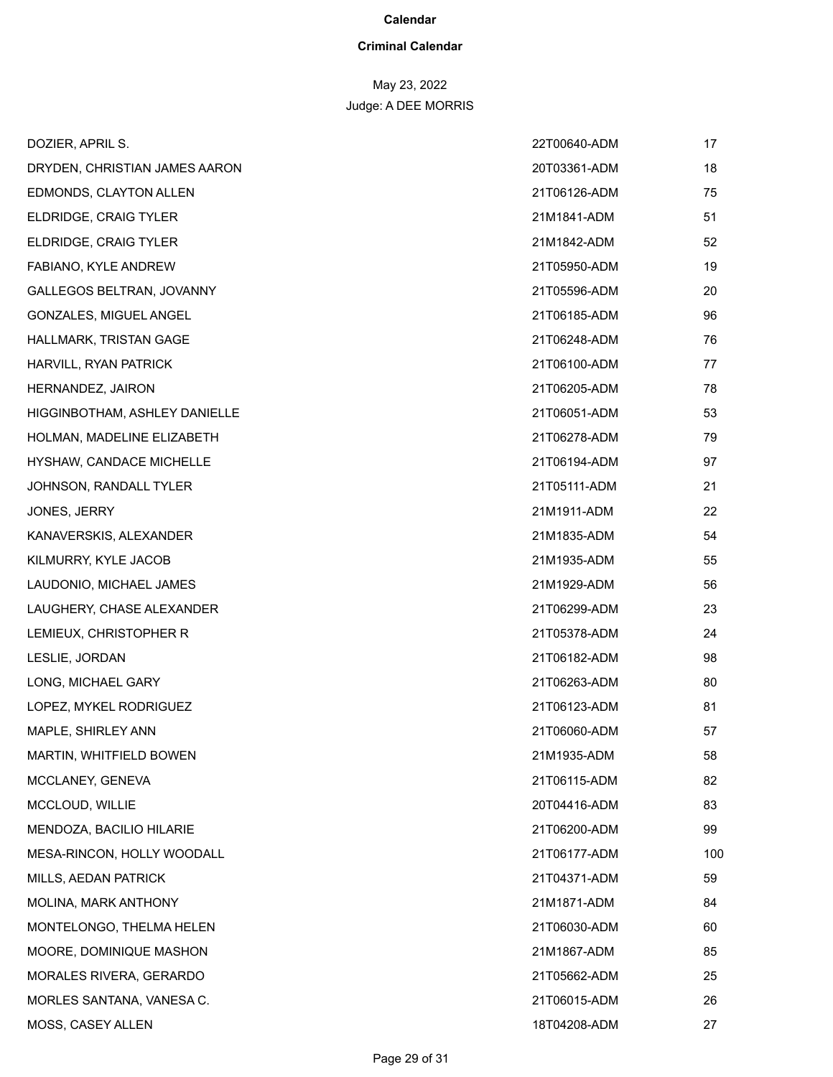### **Criminal Calendar**

| DOZIER, APRIL S.               | 22T00640-ADM | 17  |
|--------------------------------|--------------|-----|
| DRYDEN, CHRISTIAN JAMES AARON  | 20T03361-ADM | 18  |
| EDMONDS, CLAYTON ALLEN         | 21T06126-ADM | 75  |
| ELDRIDGE, CRAIG TYLER          | 21M1841-ADM  | 51  |
| ELDRIDGE, CRAIG TYLER          | 21M1842-ADM  | 52  |
| FABIANO, KYLE ANDREW           | 21T05950-ADM | 19  |
| GALLEGOS BELTRAN, JOVANNY      | 21T05596-ADM | 20  |
| GONZALES, MIGUEL ANGEL         | 21T06185-ADM | 96  |
| HALLMARK, TRISTAN GAGE         | 21T06248-ADM | 76  |
| HARVILL, RYAN PATRICK          | 21T06100-ADM | 77  |
| HERNANDEZ, JAIRON              | 21T06205-ADM | 78  |
| HIGGINBOTHAM, ASHLEY DANIELLE  | 21T06051-ADM | 53  |
| HOLMAN, MADELINE ELIZABETH     | 21T06278-ADM | 79  |
| HYSHAW, CANDACE MICHELLE       | 21T06194-ADM | 97  |
| JOHNSON, RANDALL TYLER         | 21T05111-ADM | 21  |
| JONES, JERRY                   | 21M1911-ADM  | 22  |
| KANAVERSKIS, ALEXANDER         | 21M1835-ADM  | 54  |
| KILMURRY, KYLE JACOB           | 21M1935-ADM  | 55  |
| LAUDONIO, MICHAEL JAMES        | 21M1929-ADM  | 56  |
| LAUGHERY, CHASE ALEXANDER      | 21T06299-ADM | 23  |
| LEMIEUX, CHRISTOPHER R         | 21T05378-ADM | 24  |
| LESLIE, JORDAN                 | 21T06182-ADM | 98  |
| LONG, MICHAEL GARY             | 21T06263-ADM | 80  |
| LOPEZ, MYKEL RODRIGUEZ         | 21T06123-ADM | 81  |
| MAPLE, SHIRLEY ANN             | 21T06060-ADM | 57  |
| <b>MARTIN, WHITFIELD BOWEN</b> | 21M1935-ADM  | 58  |
| MCCLANEY, GENEVA               | 21T06115-ADM | 82  |
| MCCLOUD, WILLIE                | 20T04416-ADM | 83  |
| MENDOZA, BACILIO HILARIE       | 21T06200-ADM | 99  |
| MESA-RINCON, HOLLY WOODALL     | 21T06177-ADM | 100 |
| MILLS, AEDAN PATRICK           | 21T04371-ADM | 59  |
| MOLINA, MARK ANTHONY           | 21M1871-ADM  | 84  |
| MONTELONGO, THELMA HELEN       | 21T06030-ADM | 60  |
| MOORE, DOMINIQUE MASHON        | 21M1867-ADM  | 85  |
| <b>MORALES RIVERA, GERARDO</b> | 21T05662-ADM | 25  |
| MORLES SANTANA, VANESA C.      | 21T06015-ADM | 26  |
| MOSS, CASEY ALLEN              | 18T04208-ADM | 27  |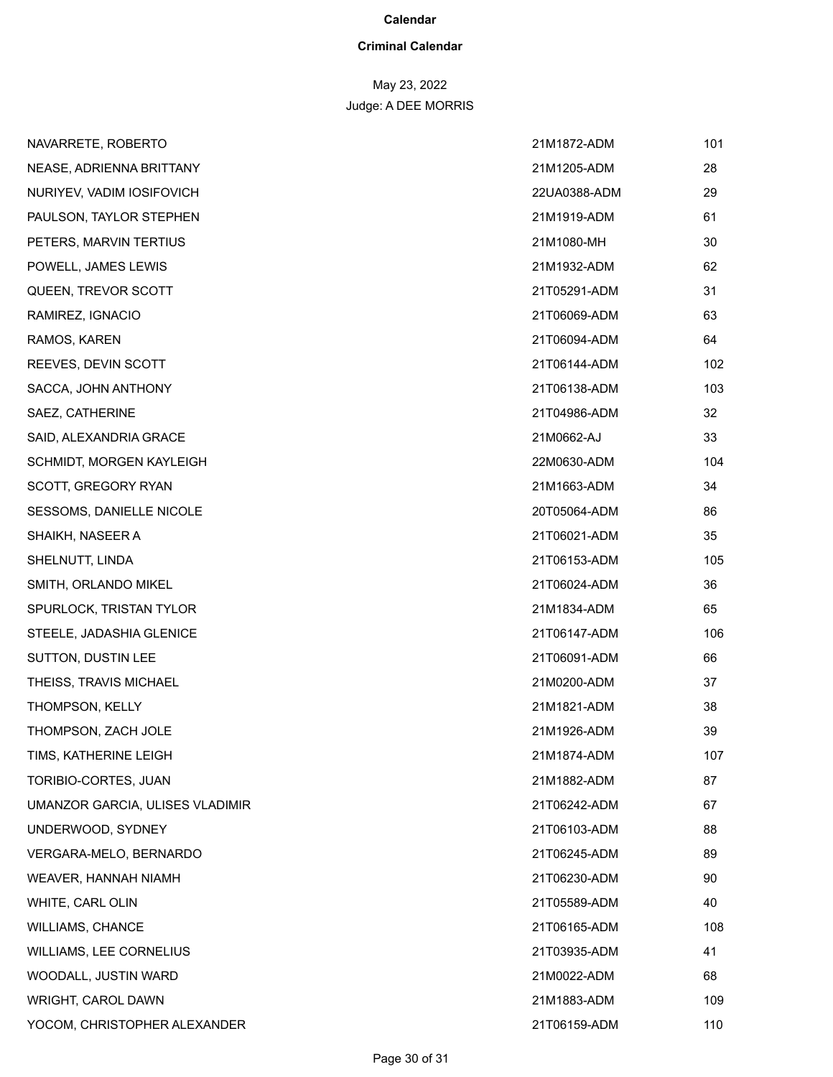### **Criminal Calendar**

| NAVARRETE, ROBERTO              | 21M1872-ADM  | 101 |
|---------------------------------|--------------|-----|
| NEASE, ADRIENNA BRITTANY        | 21M1205-ADM  | 28  |
| NURIYEV, VADIM IOSIFOVICH       | 22UA0388-ADM | 29  |
| PAULSON, TAYLOR STEPHEN         | 21M1919-ADM  | 61  |
| PETERS, MARVIN TERTIUS          | 21M1080-MH   | 30  |
| POWELL, JAMES LEWIS             | 21M1932-ADM  | 62  |
| QUEEN, TREVOR SCOTT             | 21T05291-ADM | 31  |
| RAMIREZ, IGNACIO                | 21T06069-ADM | 63  |
| RAMOS, KAREN                    | 21T06094-ADM | 64  |
| REEVES, DEVIN SCOTT             | 21T06144-ADM | 102 |
| SACCA, JOHN ANTHONY             | 21T06138-ADM | 103 |
| SAEZ, CATHERINE                 | 21T04986-ADM | 32  |
| SAID, ALEXANDRIA GRACE          | 21M0662-AJ   | 33  |
| SCHMIDT, MORGEN KAYLEIGH        | 22M0630-ADM  | 104 |
| SCOTT, GREGORY RYAN             | 21M1663-ADM  | 34  |
| <b>SESSOMS, DANIELLE NICOLE</b> | 20T05064-ADM | 86  |
| SHAIKH, NASEER A                | 21T06021-ADM | 35  |
| SHELNUTT, LINDA                 | 21T06153-ADM | 105 |
| SMITH, ORLANDO MIKEL            | 21T06024-ADM | 36  |
| SPURLOCK, TRISTAN TYLOR         | 21M1834-ADM  | 65  |
| STEELE, JADASHIA GLENICE        | 21T06147-ADM | 106 |
| SUTTON, DUSTIN LEE              | 21T06091-ADM | 66  |
| THEISS, TRAVIS MICHAEL          | 21M0200-ADM  | 37  |
| THOMPSON, KELLY                 | 21M1821-ADM  | 38  |
| THOMPSON, ZACH JOLE             | 21M1926-ADM  | 39  |
| TIMS, KATHERINE LEIGH           | 21M1874-ADM  | 107 |
| TORIBIO-CORTES, JUAN            | 21M1882-ADM  | 87  |
| UMANZOR GARCIA, ULISES VLADIMIR | 21T06242-ADM | 67  |
| UNDERWOOD, SYDNEY               | 21T06103-ADM | 88  |
| VERGARA-MELO, BERNARDO          | 21T06245-ADM | 89  |
| WEAVER, HANNAH NIAMH            | 21T06230-ADM | 90  |
| WHITE, CARL OLIN                | 21T05589-ADM | 40  |
| WILLIAMS, CHANCE                | 21T06165-ADM | 108 |
| WILLIAMS, LEE CORNELIUS         | 21T03935-ADM | 41  |
| WOODALL, JUSTIN WARD            | 21M0022-ADM  | 68  |
| WRIGHT, CAROL DAWN              | 21M1883-ADM  | 109 |
| YOCOM, CHRISTOPHER ALEXANDER    | 21T06159-ADM | 110 |